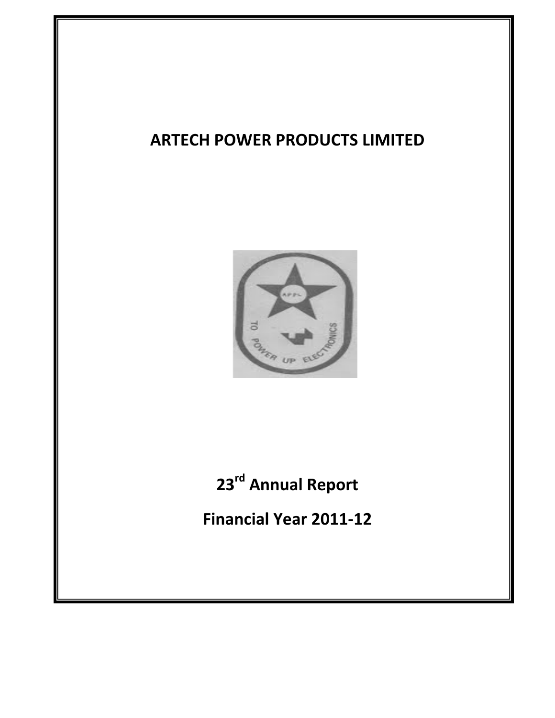# **ARTECH POWER PRODUCTS LIMITED**

Ξ



# **23rd Annual Report**

 $Final$  **Year 2011-12**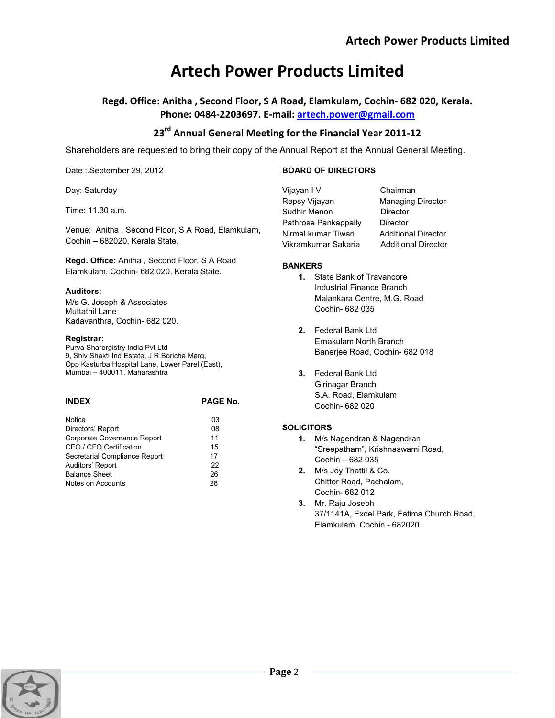**Regd. Office: Anitha , Second Floor, S A Road, Elamkulam, CochinͲ682 020, Kerala. Phone: 0484Ͳ2203697. EͲmail: artech.power@gmail.com**

## **23rd Annual General Meeting for the Financial Year 2011Ͳ12**

Shareholders are requested to bring their copy of the Annual Report at the Annual General Meeting.

Date :.September 29, 2012

Day: Saturday

Time: 11.30 a.m.

Venue: Anitha , Second Floor, S A Road, Elamkulam, Cochin – 682020, Kerala State.

**Regd. Office:** Anitha , Second Floor, S A Road Elamkulam, Cochin- 682 020, Kerala State.

## **Auditors:**

M/s G. Joseph & Associates Muttathil Lane Kadavanthra, Cochin- 682 020.

### **Registrar:**

Purva Sharergistry India Pvt Ltd 9, Shiv Shakti Ind Estate, J R Boricha Marg, Opp Kasturba Hospital Lane, Lower Parel (East), Mumbai – 400011. Maharashtra

| <b>INDEX</b>                  | <b>PAGE No.</b> |
|-------------------------------|-----------------|
| Notice                        | 03              |
| Directors' Report             | 08              |
| Corporate Governance Report   | 11              |
| CEO / CFO Certification       | 15              |
| Secretarial Compliance Report | 17              |
| Auditors' Report              | 22              |
| <b>Balance Sheet</b>          | 26              |
| Notes on Accounts             | 28              |
|                               |                 |

| Vijavan I V          | Chairman                   |
|----------------------|----------------------------|
| Repsy Vijayan        | <b>Managing Director</b>   |
| Sudhir Menon         | Director                   |
| Pathrose Pankappally | Director                   |
| Nirmal kumar Tiwari  | <b>Additional Director</b> |
| Vikramkumar Sakaria  | <b>Additional Director</b> |
|                      |                            |

## **BANKERS**

**BOARD OF DIRECTORS**

- **1.** State Bank of Travancore Industrial Finance Branch Malankara Centre, M.G. Road Cochin- 682 035
- **2.** Federal Bank Ltd Ernakulam North Branch Banerjee Road, Cochin- 682 018
- **3.** Federal Bank Ltd Girinagar Branch S.A. Road, Elamkulam Cochin- 682 020

## **SOLICITORS**

- **1.** M/s Nagendran & Nagendran "Sreepatham", Krishnaswami Road, Cochin – 682 035
- **2.** M/s Joy Thattil & Co. Chittor Road, Pachalam, Cochin- 682 012
- **3.** Mr. Raju Joseph 37/1141A, Excel Park, Fatima Church Road, Elamkulam, Cochin - 682020

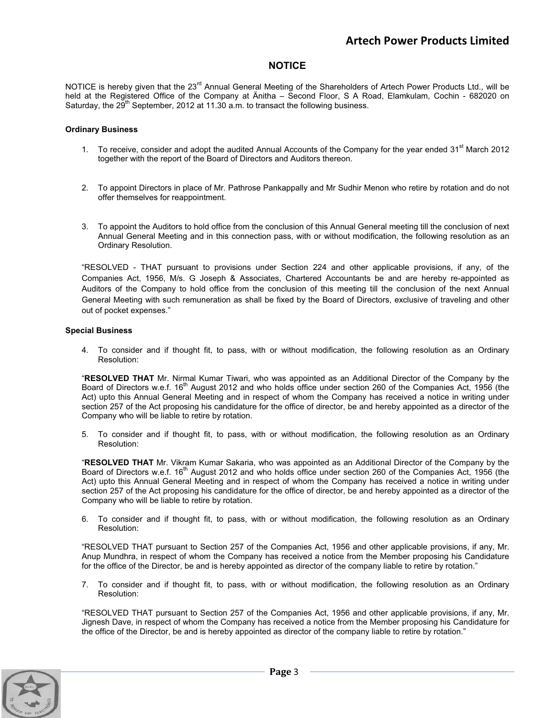## **NOTICE**

NOTICE is hereby given that the 23<sup>rd</sup> Annual General Meeting of the Shareholders of Artech Power Products Ltd., will be held at the Registered Office of the Company at Änitha – Second Floor, S A Road, Elamkulam, Cochin - 682020 on Saturday, the  $29<sup>th</sup>$  September, 2012 at 11.30 a.m. to transact the following business.

#### **Ordinary Business**

- 1. To receive, consider and adopt the audited Annual Accounts of the Company for the year ended 31<sup>st</sup> March 2012 together with the report of the Board of Directors and Auditors thereon.
- 2. To appoint Directors in place of Mr. Pathrose Pankappally and Mr Sudhir Menon who retire by rotation and do not offer themselves for reappointment.
- 3. To appoint the Auditors to hold office from the conclusion of this Annual General meeting till the conclusion of next Annual General Meeting and in this connection pass, with or without modification, the following resolution as an Ordinary Resolution.

"RESOLVED - THAT pursuant to provisions under Section 224 and other applicable provisions, if any, of the Companies Act, 1956, M/s. G Joseph & Associates, Chartered Accountants be and are hereby re-appointed as Auditors of the Company to hold office from the conclusion of this meeting till the conclusion of the next Annual General Meeting with such remuneration as shall be fixed by the Board of Directors, exclusive of traveling and other out of pocket expenses."

#### **Special Business**

4. To consider and if thought fit, to pass, with or without modification, the following resolution as an Ordinary Resolution:

"**RESOLVED THAT** Mr. Nirmal Kumar Tiwari, who was appointed as an Additional Director of the Company by the Board of Directors w.e.f. 16<sup>th</sup> August 2012 and who holds office under section 260 of the Companies Act, 1956 (the Act) upto this Annual General Meeting and in respect of whom the Company has received a notice in writing under section 257 of the Act proposing his candidature for the office of director, be and hereby appointed as a director of the Company who will be liable to retire by rotation.

5. To consider and if thought fit, to pass, with or without modification, the following resolution as an Ordinary Resolution:

"**RESOLVED THAT** Mr. Vikram Kumar Sakaria, who was appointed as an Additional Director of the Company by the Board of Directors w.e.f. 16<sup>th</sup> August 2012 and who holds office under section 260 of the Companies Act, 1956 (the Act) upto this Annual General Meeting and in respect of whom the Company has received a notice in writing under section 257 of the Act proposing his candidature for the office of director, be and hereby appointed as a director of the Company who will be liable to retire by rotation.

6. To consider and if thought fit, to pass, with or without modification, the following resolution as an Ordinary Resolution:

"RESOLVED THAT pursuant to Section 257 of the Companies Act, 1956 and other applicable provisions, if any, Mr. Anup Mundhra, in respect of whom the Company has received a notice from the Member proposing his Candidature for the office of the Director, be and is hereby appointed as director of the company liable to retire by rotation."

7. To consider and if thought fit, to pass, with or without modification, the following resolution as an Ordinary Resolution:

"RESOLVED THAT pursuant to Section 257 of the Companies Act, 1956 and other applicable provisions, if any, Mr. Jignesh Dave, in respect of whom the Company has received a notice from the Member proposing his Candidature for the office of the Director, be and is hereby appointed as director of the company liable to retire by rotation."

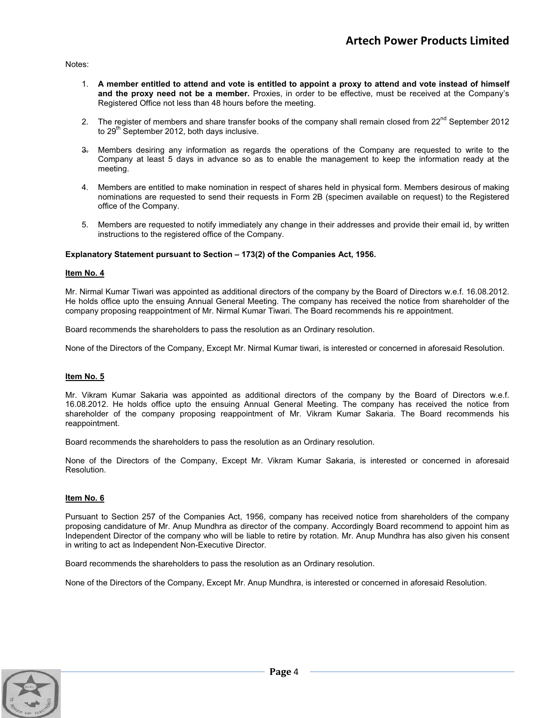Notes:

- 1. **A member entitled to attend and vote is entitled to appoint a proxy to attend and vote instead of himself and the proxy need not be a member.** Proxies, in order to be effective, must be received at the Company's Registered Office not less than 48 hours before the meeting.
- 2. The register of members and share transfer books of the company shall remain closed from 22<sup>nd</sup> September 2012 to  $29<sup>th</sup>$  September 2012, both days inclusive.
- 3. Members desiring any information as regards the operations of the Company are requested to write to the Company at least 5 days in advance so as to enable the management to keep the information ready at the meeting.
- 4. Members are entitled to make nomination in respect of shares held in physical form. Members desirous of making nominations are requested to send their requests in Form 2B (specimen available on request) to the Registered office of the Company.
- 5. Members are requested to notify immediately any change in their addresses and provide their email id, by written instructions to the registered office of the Company.

#### **Explanatory Statement pursuant to Section – 173(2) of the Companies Act, 1956.**

#### **Item No. 4**

Mr. Nirmal Kumar Tiwari was appointed as additional directors of the company by the Board of Directors w.e.f. 16.08.2012. He holds office upto the ensuing Annual General Meeting. The company has received the notice from shareholder of the company proposing reappointment of Mr. Nirmal Kumar Tiwari. The Board recommends his re appointment.

Board recommends the shareholders to pass the resolution as an Ordinary resolution.

None of the Directors of the Company, Except Mr. Nirmal Kumar tiwari, is interested or concerned in aforesaid Resolution.

#### **Item No. 5**

Mr. Vikram Kumar Sakaria was appointed as additional directors of the company by the Board of Directors w.e.f. 16.08.2012. He holds office upto the ensuing Annual General Meeting. The company has received the notice from shareholder of the company proposing reappointment of Mr. Vikram Kumar Sakaria. The Board recommends his reappointment.

Board recommends the shareholders to pass the resolution as an Ordinary resolution.

None of the Directors of the Company, Except Mr. Vikram Kumar Sakaria, is interested or concerned in aforesaid Resolution.

#### **Item No. 6**

Pursuant to Section 257 of the Companies Act, 1956, company has received notice from shareholders of the company proposing candidature of Mr. Anup Mundhra as director of the company. Accordingly Board recommend to appoint him as Independent Director of the company who will be liable to retire by rotation. Mr. Anup Mundhra has also given his consent in writing to act as Independent Non-Executive Director.

Board recommends the shareholders to pass the resolution as an Ordinary resolution.

None of the Directors of the Company, Except Mr. Anup Mundhra, is interested or concerned in aforesaid Resolution.

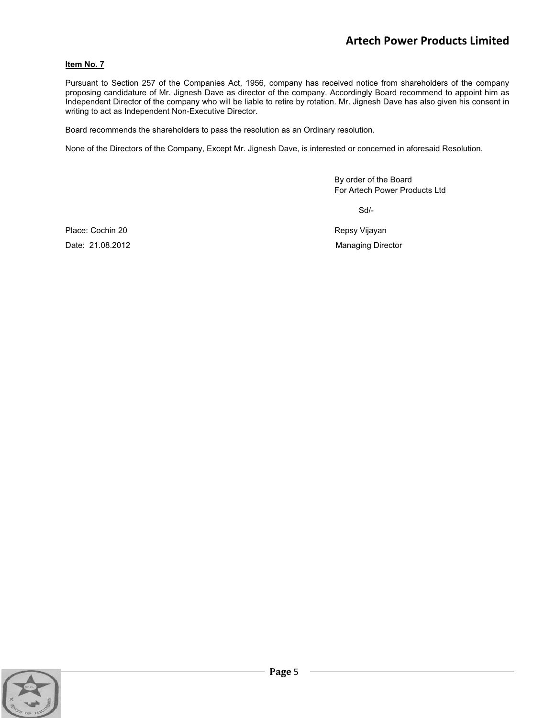### **Item No. 7**

Pursuant to Section 257 of the Companies Act, 1956, company has received notice from shareholders of the company proposing candidature of Mr. Jignesh Dave as director of the company. Accordingly Board recommend to appoint him as Independent Director of the company who will be liable to retire by rotation. Mr. Jignesh Dave has also given his consent in writing to act as Independent Non-Executive Director.

Board recommends the shareholders to pass the resolution as an Ordinary resolution.

None of the Directors of the Company, Except Mr. Jignesh Dave, is interested or concerned in aforesaid Resolution.

 By order of the Board For Artech Power Products Ltd

Sd/-

Place: Cochin 20 **Repsy Vijayan** 

Date: 21.08.2012 Managing Director

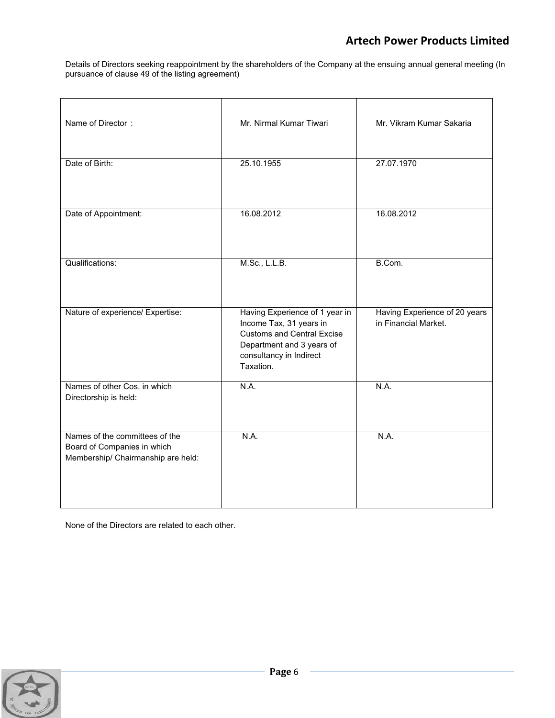Details of Directors seeking reappointment by the shareholders of the Company at the ensuing annual general meeting (In pursuance of clause 49 of the listing agreement)

| Name of Director:                                                                                   | Mr. Nirmal Kumar Tiwari                                                                                                                                             | Mr. Vikram Kumar Sakaria                              |
|-----------------------------------------------------------------------------------------------------|---------------------------------------------------------------------------------------------------------------------------------------------------------------------|-------------------------------------------------------|
| Date of Birth:                                                                                      | 25.10.1955                                                                                                                                                          | 27.07.1970                                            |
| Date of Appointment:                                                                                | 16.08.2012                                                                                                                                                          | 16.08.2012                                            |
| <b>Qualifications:</b>                                                                              | M.Sc., L.L.B.                                                                                                                                                       | B.Com.                                                |
| Nature of experience/ Expertise:                                                                    | Having Experience of 1 year in<br>Income Tax, 31 years in<br><b>Customs and Central Excise</b><br>Department and 3 years of<br>consultancy in Indirect<br>Taxation. | Having Experience of 20 years<br>in Financial Market. |
| Names of other Cos. in which<br>Directorship is held:                                               | N.A.                                                                                                                                                                | N.A.                                                  |
| Names of the committees of the<br>Board of Companies in which<br>Membership/ Chairmanship are held: | N.A.                                                                                                                                                                | N.A.                                                  |

None of the Directors are related to each other.

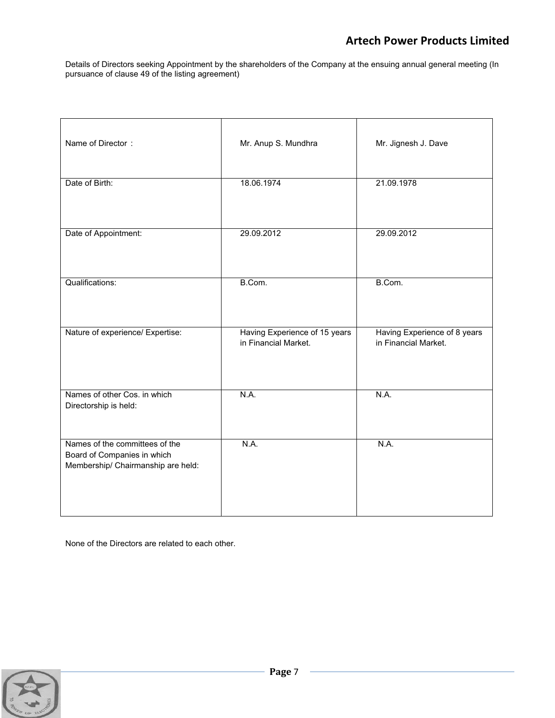Details of Directors seeking Appointment by the shareholders of the Company at the ensuing annual general meeting (In pursuance of clause 49 of the listing agreement)

| Name of Director:                                                                                   | Mr. Anup S. Mundhra                                   | Mr. Jignesh J. Dave                                  |
|-----------------------------------------------------------------------------------------------------|-------------------------------------------------------|------------------------------------------------------|
| Date of Birth:                                                                                      | 18.06.1974                                            | 21.09.1978                                           |
| Date of Appointment:                                                                                | 29.09.2012                                            | 29.09.2012                                           |
| Qualifications:                                                                                     | B.Com.                                                | B.Com.                                               |
| Nature of experience/ Expertise:                                                                    | Having Experience of 15 years<br>in Financial Market. | Having Experience of 8 years<br>in Financial Market. |
| Names of other Cos. in which<br>Directorship is held:                                               | N.A.                                                  | N.A.                                                 |
| Names of the committees of the<br>Board of Companies in which<br>Membership/ Chairmanship are held: | N.A.                                                  | N.A.                                                 |

None of the Directors are related to each other.

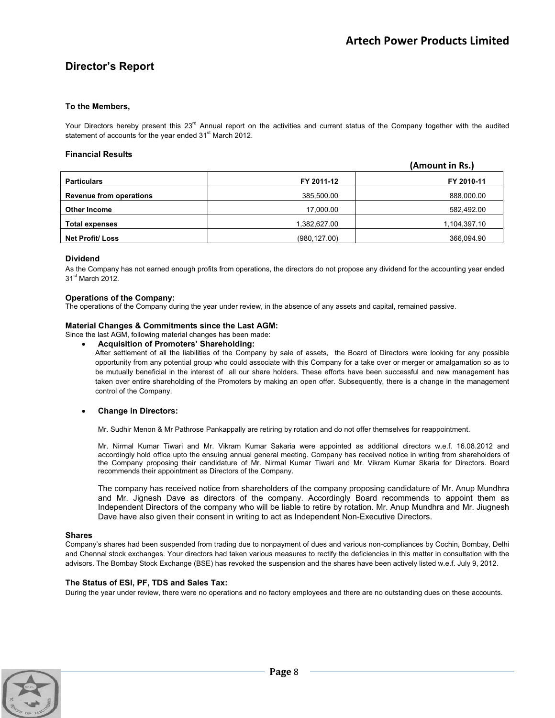## **Director's Report**

#### **To the Members,**

Your Directors hereby present this  $23<sup>rd</sup>$  Annual report on the activities and current status of the Company together with the audited statement of accounts for the year ended 31<sup>st</sup> March 2012.

#### **Financial Results**

|                                |               | (Amount in Rs.) |
|--------------------------------|---------------|-----------------|
| <b>Particulars</b>             | FY 2011-12    | FY 2010-11      |
| <b>Revenue from operations</b> | 385,500.00    | 888,000.00      |
| <b>Other Income</b>            | 17,000.00     | 582,492.00      |
| <b>Total expenses</b>          | 1,382,627.00  | 1,104,397.10    |
| <b>Net Profit/ Loss</b>        | (980, 127.00) | 366,094.90      |

#### **Dividend**

As the Company has not earned enough profits from operations, the directors do not propose any dividend for the accounting year ended 31<sup>st</sup> March 2012.

#### **Operations of the Company:**

The operations of the Company during the year under review, in the absence of any assets and capital, remained passive.

#### **Material Changes & Commitments since the Last AGM:**

Since the last AGM, following material changes has been made:

x **Acquisition of Promoters' Shareholding:** 

After settlement of all the liabilities of the Company by sale of assets, the Board of Directors were looking for any possible opportunity from any potential group who could associate with this Company for a take over or merger or amalgamation so as to be mutually beneficial in the interest of all our share holders. These efforts have been successful and new management has taken over entire shareholding of the Promoters by making an open offer. Subsequently, there is a change in the management control of the Company.

#### **Change in Directors:**

Mr. Sudhir Menon & Mr Pathrose Pankappally are retiring by rotation and do not offer themselves for reappointment.

Mr. Nirmal Kumar Tiwari and Mr. Vikram Kumar Sakaria were appointed as additional directors w.e.f. 16.08.2012 and accordingly hold office upto the ensuing annual general meeting. Company has received notice in writing from shareholders of the Company proposing their candidature of Mr. Nirmal Kumar Tiwari and Mr. Vikram Kumar Skaria for Directors. Board recommends their appointment as Directors of the Company.

The company has received notice from shareholders of the company proposing candidature of Mr. Anup Mundhra and Mr. Jignesh Dave as directors of the company. Accordingly Board recommends to appoint them as Independent Directors of the company who will be liable to retire by rotation. Mr. Anup Mundhra and Mr. Jiugnesh Dave have also given their consent in writing to act as Independent Non-Executive Directors.

#### **Shares**

Company's shares had been suspended from trading due to nonpayment of dues and various non-compliances by Cochin, Bombay, Delhi and Chennai stock exchanges. Your directors had taken various measures to rectify the deficiencies in this matter in consultation with the advisors. The Bombay Stock Exchange (BSE) has revoked the suspension and the shares have been actively listed w.e.f. July 9, 2012.

#### **The Status of ESI, PF, TDS and Sales Tax:**

During the year under review, there were no operations and no factory employees and there are no outstanding dues on these accounts.

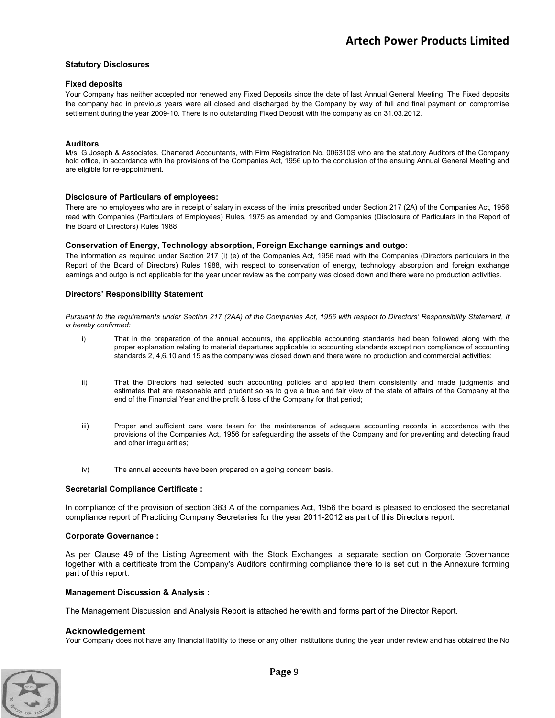#### **Statutory Disclosures**

#### **Fixed deposits**

Your Company has neither accepted nor renewed any Fixed Deposits since the date of last Annual General Meeting. The Fixed deposits the company had in previous years were all closed and discharged by the Company by way of full and final payment on compromise settlement during the year 2009-10. There is no outstanding Fixed Deposit with the company as on 31.03.2012.

#### **Auditors**

M/s. G Joseph & Associates, Chartered Accountants, with Firm Registration No. 006310S who are the statutory Auditors of the Company hold office, in accordance with the provisions of the Companies Act, 1956 up to the conclusion of the ensuing Annual General Meeting and are eligible for re-appointment.

#### **Disclosure of Particulars of employees:**

There are no employees who are in receipt of salary in excess of the limits prescribed under Section 217 (2A) of the Companies Act, 1956 read with Companies (Particulars of Employees) Rules, 1975 as amended by and Companies (Disclosure of Particulars in the Report of the Board of Directors) Rules 1988.

#### **Conservation of Energy, Technology absorption, Foreign Exchange earnings and outgo:**

The information as required under Section 217 (i) (e) of the Companies Act, 1956 read with the Companies (Directors particulars in the Report of the Board of Directors) Rules 1988, with respect to conservation of energy, technology absorption and foreign exchange earnings and outgo is not applicable for the year under review as the company was closed down and there were no production activities.

#### **Directors' Responsibility Statement**

*Pursuant to the requirements under Section 217 (2AA) of the Companies Act, 1956 with respect to Directors' Responsibility Statement, it is hereby confirmed:* 

- i) That in the preparation of the annual accounts, the applicable accounting standards had been followed along with the proper explanation relating to material departures applicable to accounting standards except non compliance of accounting standards 2, 4,6,10 and 15 as the company was closed down and there were no production and commercial activities;
- ii) That the Directors had selected such accounting policies and applied them consistently and made judgments and estimates that are reasonable and prudent so as to give a true and fair view of the state of affairs of the Company at the end of the Financial Year and the profit & loss of the Company for that period;
- iii) Proper and sufficient care were taken for the maintenance of adequate accounting records in accordance with the provisions of the Companies Act, 1956 for safeguarding the assets of the Company and for preventing and detecting fraud and other irregularities;
- iv) The annual accounts have been prepared on a going concern basis.

#### **Secretarial Compliance Certificate :**

In compliance of the provision of section 383 A of the companies Act, 1956 the board is pleased to enclosed the secretarial compliance report of Practicing Company Secretaries for the year 2011-2012 as part of this Directors report.

#### **Corporate Governance :**

As per Clause 49 of the Listing Agreement with the Stock Exchanges, a separate section on Corporate Governance together with a certificate from the Company's Auditors confirming compliance there to is set out in the Annexure forming part of this report.

#### **Management Discussion & Analysis :**

The Management Discussion and Analysis Report is attached herewith and forms part of the Director Report.

#### **Acknowledgement**

Your Company does not have any financial liability to these or any other Institutions during the year under review and has obtained the No

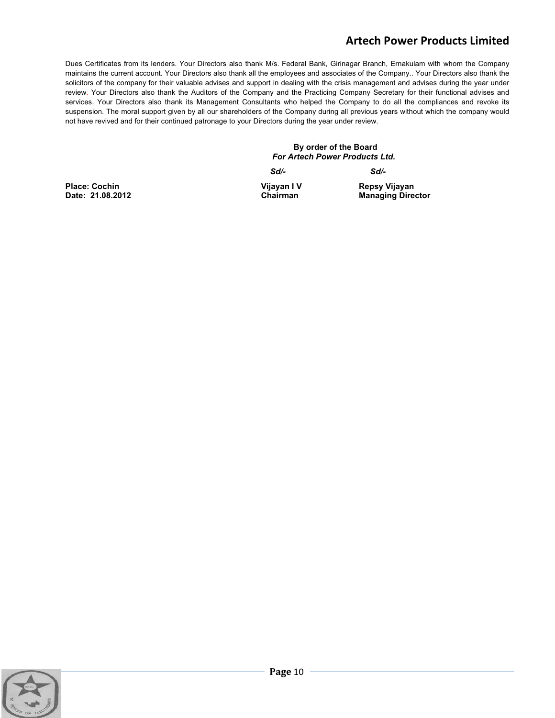Dues Certificates from its lenders. Your Directors also thank M/s. Federal Bank, Girinagar Branch, Ernakulam with whom the Company maintains the current account. Your Directors also thank all the employees and associates of the Company.. Your Directors also thank the solicitors of the company for their valuable advises and support in dealing with the crisis management and advises during the year under review. Your Directors also thank the Auditors of the Company and the Practicing Company Secretary for their functional advises and services. Your Directors also thank its Management Consultants who helped the Company to do all the compliances and revoke its suspension. The moral support given by all our shareholders of the Company during all previous years without which the company would not have revived and for their continued patronage to your Directors during the year under review.

> **By order of the Board**   *For Artech Power Products Ltd.*

 *Sd/- Sd/-* 

Place: Cochin **Vijayan I Vijayan I Vijayan I Vijayan I V**ijayan Date: 21.08.2012 **Chairman Managing Director** 

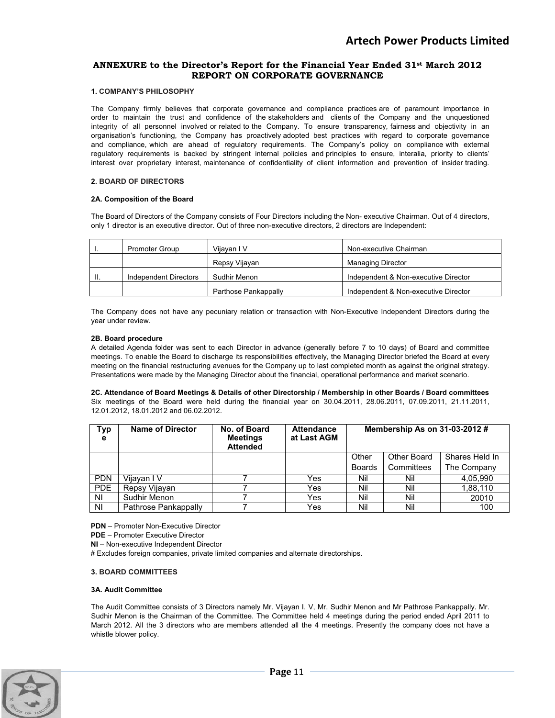### **ANNEXURE to the Director's Report for the Financial Year Ended 31st March 2012 REPORT ON CORPORATE GOVERNANCE**

#### **1. COMPANY'S PHILOSOPHY**

The Company firmly believes that corporate governance and compliance practices are of paramount importance in order to maintain the trust and confidence of the stakeholders and clients of the Company and the unquestioned integrity of all personnel involved or related to the Company. To ensure transparency, fairness and objectivity in an organisation's functioning, the Company has proactively adopted best practices with regard to corporate governance and compliance, which are ahead of regulatory requirements. The Company's policy on compliance with external regulatory requirements is backed by stringent internal policies and principles to ensure, interalia, priority to clients' interest over proprietary interest, maintenance of confidentiality of client information and prevention of insider trading.

#### **2. BOARD OF DIRECTORS**

#### **2A. Composition of the Board**

The Board of Directors of the Company consists of Four Directors including the Non- executive Chairman. Out of 4 directors, only 1 director is an executive director. Out of three non-executive directors, 2 directors are Independent:

|    | <b>Promoter Group</b> | Vijayan I V          | Non-executive Chairman               |
|----|-----------------------|----------------------|--------------------------------------|
|    |                       | Repsy Vijayan        | <b>Managing Director</b>             |
| H. | Independent Directors | Sudhir Menon         | Independent & Non-executive Director |
|    |                       | Parthose Pankappally | Independent & Non-executive Director |

The Company does not have any pecuniary relation or transaction with Non-Executive Independent Directors during the year under review.

#### **2B. Board procedure**

A detailed Agenda folder was sent to each Director in advance (generally before 7 to 10 days) of Board and committee meetings. To enable the Board to discharge its responsibilities effectively, the Managing Director briefed the Board at every meeting on the financial restructuring avenues for the Company up to last completed month as against the original strategy. Presentations were made by the Managing Director about the financial, operational performance and market scenario.

**2C. Attendance of Board Meetings & Details of other Directorship / Membership in other Boards / Board committees**  Six meetings of the Board were held during the financial year on 30.04.2011, 28.06.2011, 07.09.2011, 21.11.2011, 12.01.2012, 18.01.2012 and 06.02.2012.

| <b>Typ</b><br>е | <b>Name of Director</b> | No. of Board<br><b>Meetings</b><br><b>Attended</b> | <b>Attendance</b><br>at Last AGM |               | Membership As on $31-03-2012 \#$ |                |
|-----------------|-------------------------|----------------------------------------------------|----------------------------------|---------------|----------------------------------|----------------|
|                 |                         |                                                    |                                  | Other         | Other Board                      | Shares Held In |
|                 |                         |                                                    |                                  | <b>Boards</b> | Committees                       | The Company    |
| <b>PDN</b>      | Vijayan I V             |                                                    | Yes                              | Nil           | Nil                              | 4.05.990       |
| <b>PDE</b>      | Repsy Vijayan           |                                                    | Yes                              | Nil           | Nil                              | 1,88,110       |
| NI              | Sudhir Menon            |                                                    | Yes                              | Nil           | Nil                              | 20010          |
| NI              | Pathrose Pankappally    |                                                    | Yes                              | Nil           | Nil                              | 100            |

**PDN** – Promoter Non-Executive Director

**PDE** – Promoter Executive Director

**NI** – Non-executive Independent Director

# Excludes foreign companies, private limited companies and alternate directorships.

#### **3. BOARD COMMITTEES**

#### **3A. Audit Committee**

The Audit Committee consists of 3 Directors namely Mr. Vijayan I. V, Mr. Sudhir Menon and Mr Pathrose Pankappally. Mr. Sudhir Menon is the Chairman of the Committee. The Committee held 4 meetings during the period ended April 2011 to March 2012. All the 3 directors who are members attended all the 4 meetings. Presently the company does not have a whistle blower policy.

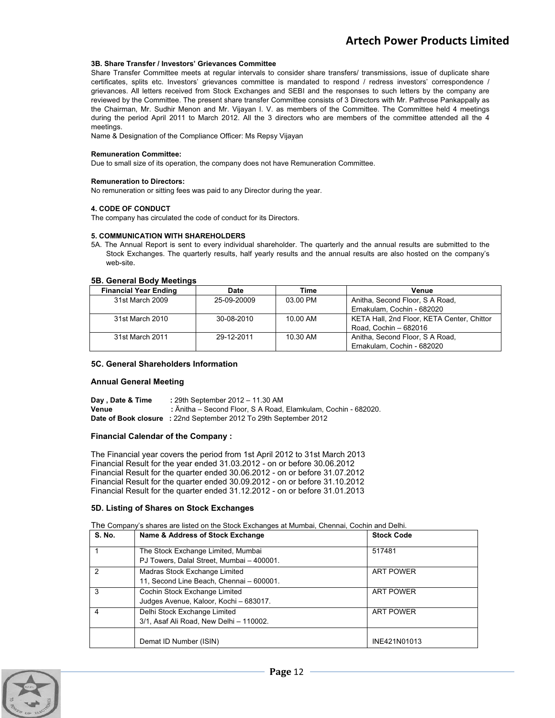#### **3B. Share Transfer / Investors' Grievances Committee**

Share Transfer Committee meets at regular intervals to consider share transfers/ transmissions, issue of duplicate share certificates, splits etc. Investors' grievances committee is mandated to respond / redress investors' correspondence / grievances. All letters received from Stock Exchanges and SEBI and the responses to such letters by the company are reviewed by the Committee. The present share transfer Committee consists of 3 Directors with Mr. Pathrose Pankappally as the Chairman, Mr. Sudhir Menon and Mr. Vijayan I. V. as members of the Committee. The Committee held 4 meetings during the period April 2011 to March 2012. All the 3 directors who are members of the committee attended all the 4 meetings.

Name & Designation of the Compliance Officer: Ms Repsy Vijayan

#### **Remuneration Committee:**

Due to small size of its operation, the company does not have Remuneration Committee.

#### **Remuneration to Directors:**

No remuneration or sitting fees was paid to any Director during the year.

#### **4. CODE OF CONDUCT**

The company has circulated the code of conduct for its Directors.

#### **5. COMMUNICATION WITH SHAREHOLDERS**

5A. The Annual Report is sent to every individual shareholder. The quarterly and the annual results are submitted to the Stock Exchanges. The quarterly results, half yearly results and the annual results are also hosted on the company's web-site.

#### **5B. General Body Meetings**

| <b>Financial Year Ending</b> | Date        | Time     | Venue                                      |
|------------------------------|-------------|----------|--------------------------------------------|
| 31st March 2009              | 25-09-20009 | 03.00 PM | Anitha, Second Floor, S A Road,            |
|                              |             |          | Ernakulam, Cochin - 682020                 |
| 31st March 2010              | 30-08-2010  | 10.00 AM | KETA Hall, 2nd Floor, KETA Center, Chittor |
|                              |             |          | Road, Cochin - 682016                      |
| 31st March 2011              | 29-12-2011  | 10.30 AM | Anitha, Second Floor, S A Road,            |
|                              |             |          | Ernakulam, Cochin - 682020                 |

#### **5C. General Shareholders Information**

#### **Annual General Meeting**

**Day , Date & Time :** 29th September 2012 – 11.30 AM **Venue :** Änitha – Second Floor, S A Road, Elamkulam, Cochin - 682020. **Date of Book closure :** 22nd September 2012 To 29th September 2012

#### **Financial Calendar of the Company :**

The Financial year covers the period from 1st April 2012 to 31st March 2013 Financial Result for the year ended 31.03.2012 - on or before 30.06.2012 Financial Result for the quarter ended 30.06.2012 - on or before 31.07.2012 Financial Result for the quarter ended 30.09.2012 - on or before 31.10.2012 Financial Result for the quarter ended 31.12.2012 - on or before 31.01.2013

#### **5D. Listing of Shares on Stock Exchanges**

The Company's shares are listed on the Stock Exchanges at Mumbai, Chennai, Cochin and Delhi.

| <b>S. No.</b> | Name & Address of Stock Exchange          | <b>Stock Code</b> |
|---------------|-------------------------------------------|-------------------|
|               | The Stock Exchange Limited, Mumbai        | 517481            |
|               | PJ Towers, Dalal Street, Mumbai - 400001. |                   |
| $\mathcal{P}$ | Madras Stock Exchange Limited             | <b>ART POWER</b>  |
|               | 11, Second Line Beach, Chennai - 600001.  |                   |
| 3             | Cochin Stock Exchange Limited             | <b>ART POWER</b>  |
|               | Judges Avenue, Kaloor, Kochi - 683017.    |                   |
| 4             | Delhi Stock Exchange Limited              | <b>ART POWER</b>  |
|               | 3/1, Asaf Ali Road, New Delhi - 110002.   |                   |
|               |                                           |                   |
|               | Demat ID Number (ISIN)                    | INE421N01013      |

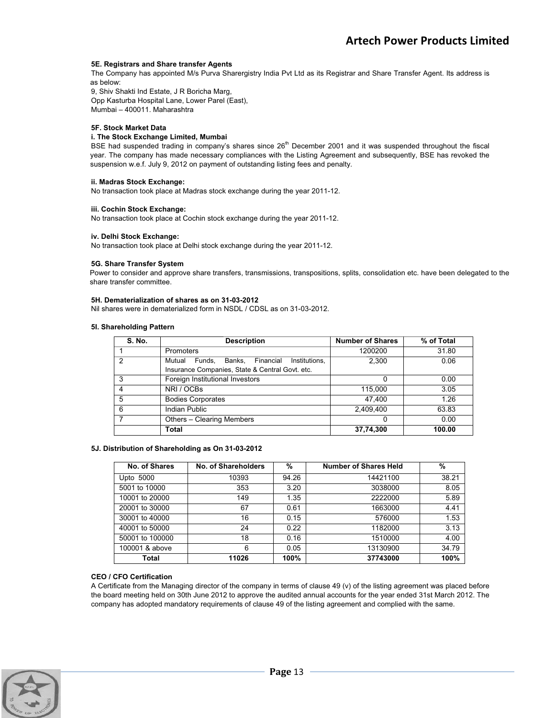#### **5E. Registrars and Share transfer Agents**

The Company has appointed M/s Purva Sharergistry India Pvt Ltd as its Registrar and Share Transfer Agent. Its address is as below:

9, Shiv Shakti Ind Estate, J R Boricha Marg, Opp Kasturba Hospital Lane, Lower Parel (East), Mumbai – 400011. Maharashtra

#### **5F. Stock Market Data**

#### **i. The Stock Exchange Limited, Mumbai**

BSE had suspended trading in company's shares since 26<sup>th</sup> December 2001 and it was suspended throughout the fiscal year. The company has made necessary compliances with the Listing Agreement and subsequently, BSE has revoked the suspension w.e.f. July 9, 2012 on payment of outstanding listing fees and penalty.

#### **ii. Madras Stock Exchange:**

No transaction took place at Madras stock exchange during the year 2011-12.

#### **iii. Cochin Stock Exchange:**

No transaction took place at Cochin stock exchange during the year 2011-12.

#### **iv. Delhi Stock Exchange:**

No transaction took place at Delhi stock exchange during the year 2011-12.

#### **5G. Share Transfer System**

Power to consider and approve share transfers, transmissions, transpositions, splits, consolidation etc. have been delegated to the share transfer committee.

#### **5H. Dematerialization of shares as on 31-03-2012**

Nil shares were in dematerialized form in NSDL / CDSL as on 31-03-2012.

#### **5I. Shareholding Pattern**

| <b>S. No.</b> | <b>Description</b>                                    | <b>Number of Shares</b> | % of Total |
|---------------|-------------------------------------------------------|-------------------------|------------|
|               | <b>Promoters</b>                                      | 1200200                 | 31.80      |
| 2             | Financial<br>Institutions.<br>Mutual<br>Funds. Banks. | 2.300                   | 0.06       |
|               | Insurance Companies, State & Central Govt. etc.       |                         |            |
| 3             | Foreign Institutional Investors                       | 0                       | 0.00       |
| 4             | NRI / OCBs                                            | 115,000                 | 3.05       |
| 5             | <b>Bodies Corporates</b>                              | 47.400                  | 1.26       |
| 6             | Indian Public                                         | 2,409,400               | 63.83      |
|               | Others - Clearing Members                             | 0                       | 0.00       |
|               | Total                                                 | 37,74,300               | 100.00     |

#### **5J. Distribution of Shareholding as On 31-03-2012**

| No. of Shares   | No. of Shareholders | %     | <b>Number of Shares Held</b> | %     |
|-----------------|---------------------|-------|------------------------------|-------|
| Upto 5000       | 10393               | 94.26 | 14421100                     | 38.21 |
| 5001 to 10000   | 353                 | 3.20  | 3038000                      | 8.05  |
| 10001 to 20000  | 149                 | 1.35  | 2222000                      | 5.89  |
| 20001 to 30000  | 67                  | 0.61  | 1663000                      | 4.41  |
| 30001 to 40000  | 16                  | 0.15  | 576000                       | 1.53  |
| 40001 to 50000  | 24                  | 0.22  | 1182000                      | 3.13  |
| 50001 to 100000 | 18                  | 0.16  | 1510000                      | 4.00  |
| 100001 & above  | 6                   | 0.05  | 13130900                     | 34.79 |
| Total           | 11026               | 100%  | 37743000                     | 100%  |

#### **CEO / CFO Certification**

A Certificate from the Managing director of the company in terms of clause 49 (v) of the listing agreement was placed before the board meeting held on 30th June 2012 to approve the audited annual accounts for the year ended 31st March 2012. The company has adopted mandatory requirements of clause 49 of the listing agreement and complied with the same.

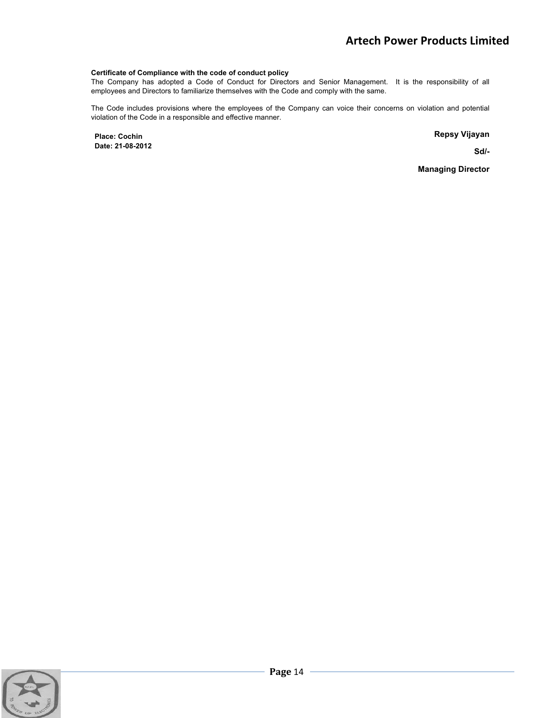#### **Certificate of Compliance with the code of conduct policy**

The Company has adopted a Code of Conduct for Directors and Senior Management. It is the responsibility of all employees and Directors to familiarize themselves with the Code and comply with the same.

The Code includes provisions where the employees of the Company can voice their concerns on violation and potential violation of the Code in a responsible and effective manner.

**Place: Cochin Date: 21-08-2012**  **Repsy Vijayan** 

**Sd/-** 

**Managing Director** 

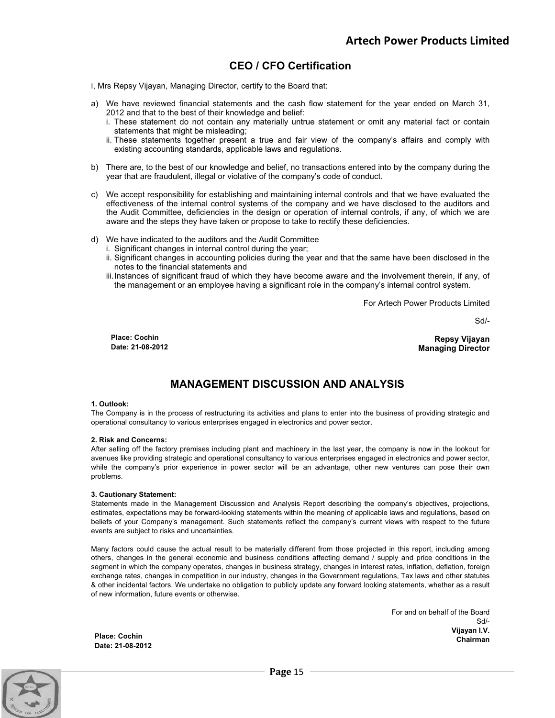## **CEO / CFO Certification**

- I, Mrs Repsy Vijayan, Managing Director, certify to the Board that:
- a) We have reviewed financial statements and the cash flow statement for the year ended on March 31, 2012 and that to the best of their knowledge and belief:
	- i. These statement do not contain any materially untrue statement or omit any material fact or contain statements that might be misleading;
	- ii. These statements together present a true and fair view of the company's affairs and comply with existing accounting standards, applicable laws and regulations.
- b) There are, to the best of our knowledge and belief, no transactions entered into by the company during the year that are fraudulent, illegal or violative of the company's code of conduct.
- c) We accept responsibility for establishing and maintaining internal controls and that we have evaluated the effectiveness of the internal control systems of the company and we have disclosed to the auditors and the Audit Committee, deficiencies in the design or operation of internal controls, if any, of which we are aware and the steps they have taken or propose to take to rectify these deficiencies.
- d) We have indicated to the auditors and the Audit Committee
	- i. Significant changes in internal control during the year;
		- ii. Significant changes in accounting policies during the year and that the same have been disclosed in the notes to the financial statements and
		- iii. Instances of significant fraud of which they have become aware and the involvement therein, if any, of the management or an employee having a significant role in the company's internal control system.

For Artech Power Products Limited

Sd/-

**Place: Cochin Date: 21-08-2012** 

**Repsy Vijayan Managing Director** 

## **MANAGEMENT DISCUSSION AND ANALYSIS**

#### **1. Outlook:**

The Company is in the process of restructuring its activities and plans to enter into the business of providing strategic and operational consultancy to various enterprises engaged in electronics and power sector.

#### **2. Risk and Concerns:**

After selling off the factory premises including plant and machinery in the last year, the company is now in the lookout for avenues like providing strategic and operational consultancy to various enterprises engaged in electronics and power sector, while the company's prior experience in power sector will be an advantage, other new ventures can pose their own problems.

#### **3. Cautionary Statement:**

Statements made in the Management Discussion and Analysis Report describing the company's objectives, projections, estimates, expectations may be forward-looking statements within the meaning of applicable laws and regulations, based on beliefs of your Company's management. Such statements reflect the company's current views with respect to the future events are subject to risks and uncertainties.

Many factors could cause the actual result to be materially different from those projected in this report, including among others, changes in the general economic and business conditions affecting demand / supply and price conditions in the segment in which the company operates, changes in business strategy, changes in interest rates, inflation, deflation, foreign exchange rates, changes in competition in our industry, changes in the Government regulations, Tax laws and other statutes & other incidental factors. We undertake no obligation to publicly update any forward looking statements, whether as a result of new information, future events or otherwise.

> For and on behalf of the Board Sd/- **Vijayan I.V. Chairman**

**Place: Cochin Date: 21-08-2012** 

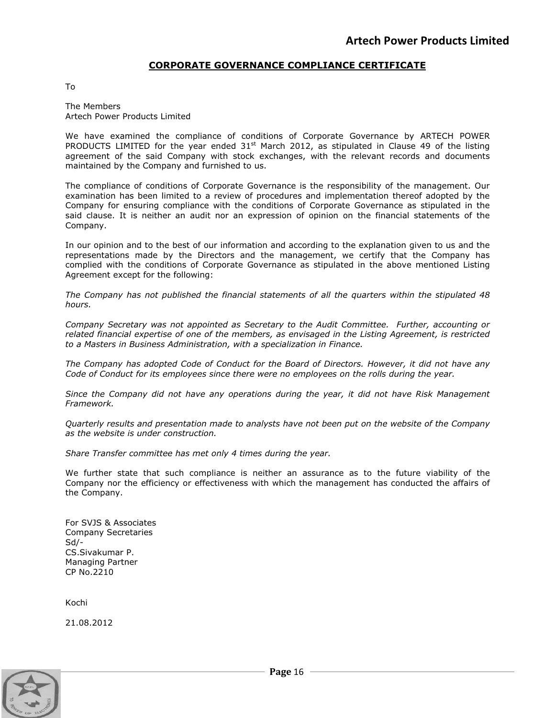## **CORPORATE GOVERNANCE COMPLIANCE CERTIFICATE**

To

The Members Artech Power Products Limited

We have examined the compliance of conditions of Corporate Governance by ARTECH POWER PRODUCTS LIMITED for the year ended  $31<sup>st</sup>$  March 2012, as stipulated in Clause 49 of the listing agreement of the said Company with stock exchanges, with the relevant records and documents maintained by the Company and furnished to us.

The compliance of conditions of Corporate Governance is the responsibility of the management. Our examination has been limited to a review of procedures and implementation thereof adopted by the Company for ensuring compliance with the conditions of Corporate Governance as stipulated in the said clause. It is neither an audit nor an expression of opinion on the financial statements of the Company.

In our opinion and to the best of our information and according to the explanation given to us and the representations made by the Directors and the management, we certify that the Company has complied with the conditions of Corporate Governance as stipulated in the above mentioned Listing Agreement except for the following:

*The Company has not published the financial statements of all the quarters within the stipulated 48 hours.*

*Company Secretary was not appointed as Secretary to the Audit Committee. Further, accounting or related financial expertise of one of the members, as envisaged in the Listing Agreement, is restricted to a Masters in Business Administration, with a specialization in Finance.* 

*The Company has adopted Code of Conduct for the Board of Directors. However, it did not have any Code of Conduct for its employees since there were no employees on the rolls during the year.* 

*Since the Company did not have any operations during the year, it did not have Risk Management Framework.*

*Quarterly results and presentation made to analysts have not been put on the website of the Company as the website is under construction.* 

*Share Transfer committee has met only 4 times during the year.*

We further state that such compliance is neither an assurance as to the future viability of the Company nor the efficiency or effectiveness with which the management has conducted the affairs of the Company.

For SVJS & Associates Company Secretaries Sd/- CS.Sivakumar P. Managing Partner CP No.2210

Kochi

21.08.2012

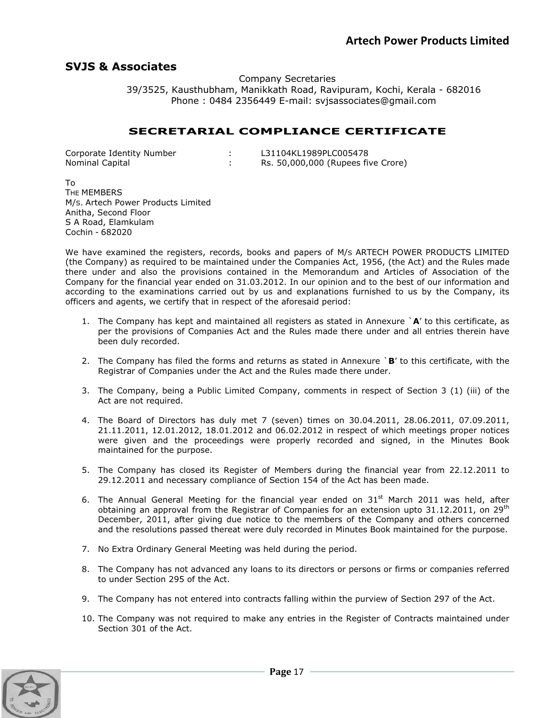## **SVJS & Associates**

Company Secretaries 39/3525, Kausthubham, Manikkath Road, Ravipuram, Kochi, Kerala - 682016 Phone : 0484 2356449 E-mail: svjsassociates@gmail.com

## **SECRETARIAL COMPLIANCE CERTIFICATE**

| Corporate Identity Number | L31104KL1989PLC005478              |
|---------------------------|------------------------------------|
| Nominal Capital           | Rs. 50,000,000 (Rupees five Crore) |

To THE MEMBERS M/S. Artech Power Products Limited Anitha, Second Floor S A Road, Elamkulam Cochin - 682020

We have examined the registers, records, books and papers of M/s ARTECH POWER PRODUCTS LIMITED (the Company) as required to be maintained under the Companies Act, 1956, (the Act) and the Rules made there under and also the provisions contained in the Memorandum and Articles of Association of the Company for the financial year ended on 31.03.2012. In our opinion and to the best of our information and according to the examinations carried out by us and explanations furnished to us by the Company, its officers and agents, we certify that in respect of the aforesaid period:

- 1. The Company has kept and maintained all registers as stated in Annexure `**A**' to this certificate, as per the provisions of Companies Act and the Rules made there under and all entries therein have been duly recorded.
- 2. The Company has filed the forms and returns as stated in Annexure `**B**' to this certificate, with the Registrar of Companies under the Act and the Rules made there under.
- 3. The Company, being a Public Limited Company, comments in respect of Section 3 (1) (iii) of the Act are not required.
- 4. The Board of Directors has duly met 7 (seven) times on 30.04.2011, 28.06.2011, 07.09.2011, 21.11.2011, 12.01.2012, 18.01.2012 and 06.02.2012 in respect of which meetings proper notices were given and the proceedings were properly recorded and signed, in the Minutes Book maintained for the purpose.
- 5. The Company has closed its Register of Members during the financial year from 22.12.2011 to 29.12.2011 and necessary compliance of Section 154 of the Act has been made.
- 6. The Annual General Meeting for the financial year ended on  $31^{st}$  March 2011 was held, after obtaining an approval from the Registrar of Companies for an extension upto  $31.12.2011$ , on  $29<sup>th</sup>$ December, 2011, after giving due notice to the members of the Company and others concerned and the resolutions passed thereat were duly recorded in Minutes Book maintained for the purpose.
- 7. No Extra Ordinary General Meeting was held during the period.
- 8. The Company has not advanced any loans to its directors or persons or firms or companies referred to under Section 295 of the Act.
- 9. The Company has not entered into contracts falling within the purview of Section 297 of the Act.
- 10. The Company was not required to make any entries in the Register of Contracts maintained under Section 301 of the Act.

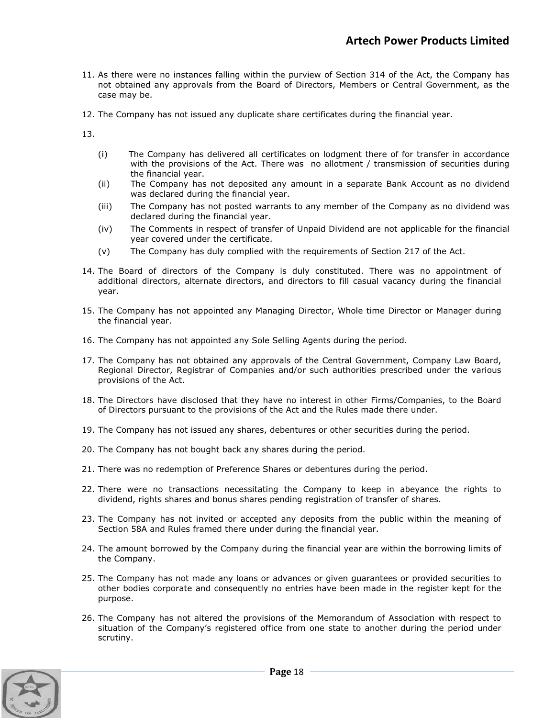- 11. As there were no instances falling within the purview of Section 314 of the Act, the Company has not obtained any approvals from the Board of Directors, Members or Central Government, as the case may be.
- 12. The Company has not issued any duplicate share certificates during the financial year.

13.

- (i) The Company has delivered all certificates on lodgment there of for transfer in accordance with the provisions of the Act. There was no allotment / transmission of securities during the financial year.
- (ii) The Company has not deposited any amount in a separate Bank Account as no dividend was declared during the financial year.
- (iii) The Company has not posted warrants to any member of the Company as no dividend was declared during the financial year.
- (iv) The Comments in respect of transfer of Unpaid Dividend are not applicable for the financial year covered under the certificate.
- (v) The Company has duly complied with the requirements of Section 217 of the Act.
- 14. The Board of directors of the Company is duly constituted. There was no appointment of additional directors, alternate directors, and directors to fill casual vacancy during the financial year.
- 15. The Company has not appointed any Managing Director, Whole time Director or Manager during the financial year.
- 16. The Company has not appointed any Sole Selling Agents during the period.
- 17. The Company has not obtained any approvals of the Central Government, Company Law Board, Regional Director, Registrar of Companies and/or such authorities prescribed under the various provisions of the Act.
- 18. The Directors have disclosed that they have no interest in other Firms/Companies, to the Board of Directors pursuant to the provisions of the Act and the Rules made there under.
- 19. The Company has not issued any shares, debentures or other securities during the period.
- 20. The Company has not bought back any shares during the period.
- 21. There was no redemption of Preference Shares or debentures during the period.
- 22. There were no transactions necessitating the Company to keep in abeyance the rights to dividend, rights shares and bonus shares pending registration of transfer of shares.
- 23. The Company has not invited or accepted any deposits from the public within the meaning of Section 58A and Rules framed there under during the financial year.
- 24. The amount borrowed by the Company during the financial year are within the borrowing limits of the Company.
- 25. The Company has not made any loans or advances or given guarantees or provided securities to other bodies corporate and consequently no entries have been made in the register kept for the purpose.
- 26. The Company has not altered the provisions of the Memorandum of Association with respect to situation of the Company's registered office from one state to another during the period under scrutiny.

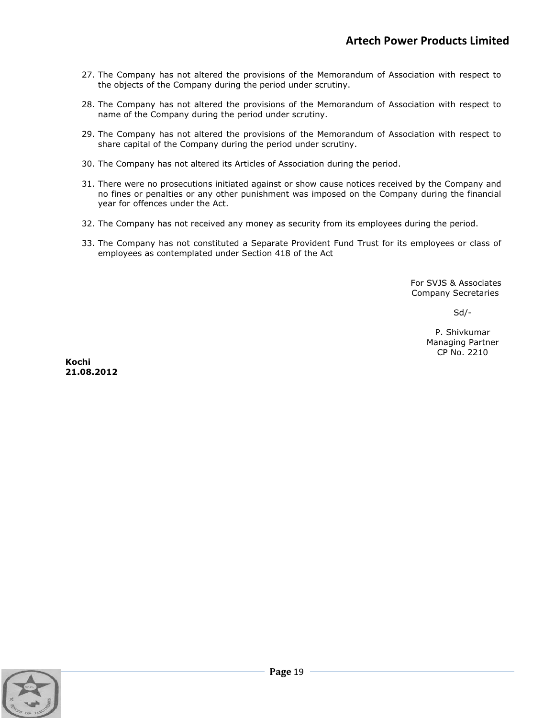- 27. The Company has not altered the provisions of the Memorandum of Association with respect to the objects of the Company during the period under scrutiny.
- 28. The Company has not altered the provisions of the Memorandum of Association with respect to name of the Company during the period under scrutiny.
- 29. The Company has not altered the provisions of the Memorandum of Association with respect to share capital of the Company during the period under scrutiny.
- 30. The Company has not altered its Articles of Association during the period.
- 31. There were no prosecutions initiated against or show cause notices received by the Company and no fines or penalties or any other punishment was imposed on the Company during the financial year for offences under the Act.
- 32. The Company has not received any money as security from its employees during the period.
- 33. The Company has not constituted a Separate Provident Fund Trust for its employees or class of employees as contemplated under Section 418 of the Act

 For SVJS & Associates Company Secretaries

Sd/-

P. Shivkumar Managing Partner CP No. 2210

**Kochi 21.08.2012** 

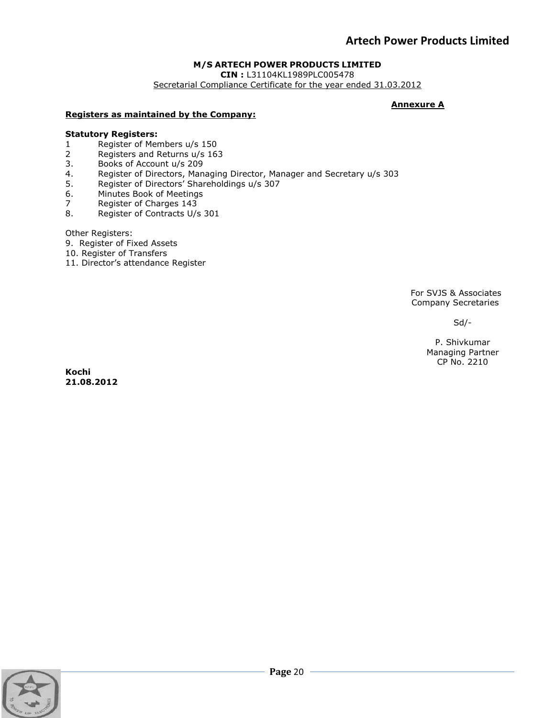## **M/S ARTECH POWER PRODUCTS LIMITED**

**CIN :** L31104KL1989PLC005478

Secretarial Compliance Certificate for the year ended 31.03.2012

### **Annexure A**

### **Registers as maintained by the Company:**

### **Statutory Registers:**

- 1 Register of Members u/s 150<br>2 Registers and Returns u/s 16
- 2 Registers and Returns u/s 163<br>3. Books of Account u/s 209
- 3. Books of Account u/s 209<br>4. Register of Directors, Man
- Register of Directors, Managing Director, Manager and Secretary u/s 303
- 5. Register of Directors' Shareholdings u/s 307
- 6. Minutes Book of Meetings
- 7 Register of Charges 143
- 8. Register of Contracts U/s 301

Other Registers:

- 9. Register of Fixed Assets
- 10. Register of Transfers
- 11. Director's attendance Register

For SVJS & Associates Company Secretaries

Sd/-

P. Shivkumar Managing Partner CP No. 2210

**Kochi 21.08.2012** 

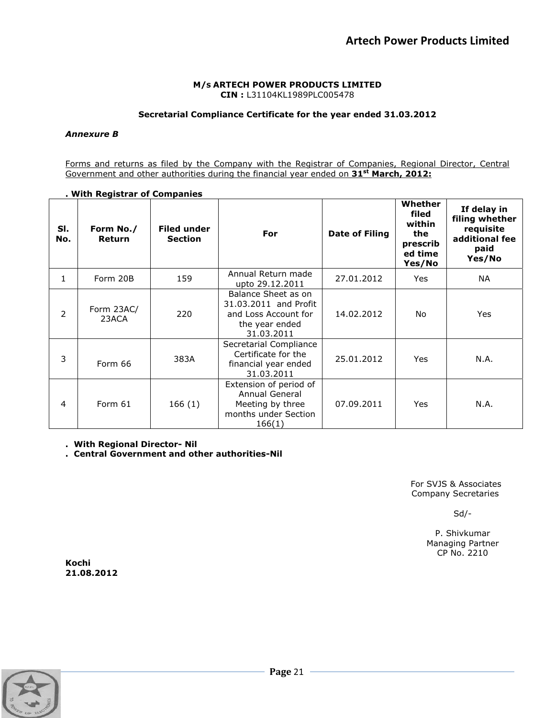#### **M/S ARTECH POWER PRODUCTS LIMITED CIN :** L31104KL1989PLC005478

### **Secretarial Compliance Certificate for the year ended 31.03.2012**

#### *Annexure B*

Forms and returns as filed by the Company with the Registrar of Companies, Regional Director, Central Government and other authorities during the financial year ended on **31st March, 2012:** 

#### **. With Registrar of Companies**

| SI.<br>No.     | Form No./<br><b>Return</b> | <b>Filed under</b><br><b>Section</b> | For                                                                                                  | <b>Date of Filing</b> | Whether<br>filed<br>within<br>the<br>prescrib<br>ed time<br>Yes/No | If delay in<br>filing whether<br>requisite<br>additional fee<br>paid<br>Yes/No |
|----------------|----------------------------|--------------------------------------|------------------------------------------------------------------------------------------------------|-----------------------|--------------------------------------------------------------------|--------------------------------------------------------------------------------|
| 1              | Form 20B                   | 159                                  | Annual Return made<br>upto 29.12.2011                                                                | 27.01.2012            | Yes                                                                | NA.                                                                            |
| $\overline{2}$ | Form 23AC/<br>23ACA        | 220                                  | Balance Sheet as on<br>31.03.2011 and Profit<br>and Loss Account for<br>the year ended<br>31.03.2011 | 14.02.2012            | No                                                                 | Yes                                                                            |
| 3              | Form 66                    | 383A                                 | Secretarial Compliance<br>Certificate for the<br>financial year ended<br>31.03.2011                  | 25.01.2012            | Yes                                                                | N.A.                                                                           |
| $\overline{4}$ | Form 61                    | 166(1)                               | Extension of period of<br>Annual General<br>Meeting by three<br>months under Section<br>166(1)       | 07.09.2011            | <b>Yes</b>                                                         | N.A.                                                                           |

**. With Regional Director- Nil** 

**. Central Government and other authorities-Nil** 

For SVJS & Associates Company Secretaries

Sd/-

P. Shivkumar Managing Partner CP No. 2210

**Kochi 21.08.2012** 

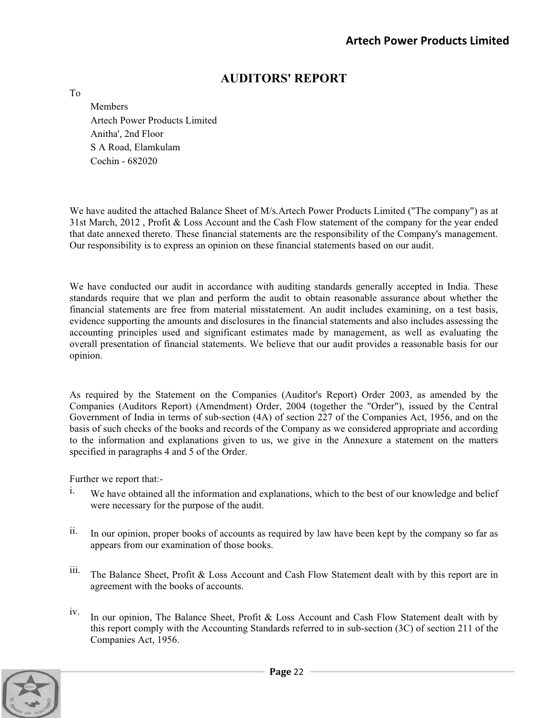## **AUDITORS' REPORT**

To

**Members** Artech Power Products Limited Anitha', 2nd Floor S A Road, Elamkulam Cochin - 682020

We have audited the attached Balance Sheet of M/s.Artech Power Products Limited ("The company") as at 31st March, 2012 , Profit & Loss Account and the Cash Flow statement of the company for the year ended that date annexed thereto. These financial statements are the responsibility of the Company's management. Our responsibility is to express an opinion on these financial statements based on our audit.

We have conducted our audit in accordance with auditing standards generally accepted in India. These standards require that we plan and perform the audit to obtain reasonable assurance about whether the financial statements are free from material misstatement. An audit includes examining, on a test basis, evidence supporting the amounts and disclosures in the financial statements and also includes assessing the accounting principles used and significant estimates made by management, as well as evaluating the overall presentation of financial statements. We believe that our audit provides a reasonable basis for our opinion.

As required by the Statement on the Companies (Auditor's Report) Order 2003, as amended by the Companies (Auditors Report) (Amendment) Order, 2004 (together the "Order"), issued by the Central Government of India in terms of sub-section (4A) of section 227 of the Companies Act, 1956, and on the basis of such checks of the books and records of the Company as we considered appropriate and according to the information and explanations given to us, we give in the Annexure a statement on the matters specified in paragraphs 4 and 5 of the Order.

Further we report that:-

- <sup>i.</sup> We have obtained all the information and explanations, which to the best of our knowledge and belief were necessary for the purpose of the audit.
- ii. In our opinion, proper books of accounts as required by law have been kept by the company so far as appears from our examination of those books.
- iii. The Balance Sheet, Profit & Loss Account and Cash Flow Statement dealt with by this report are in agreement with the books of accounts.
- iv. In our opinion, The Balance Sheet, Profit & Loss Account and Cash Flow Statement dealt with by this report comply with the Accounting Standards referred to in sub-section (3C) of section 211 of the Companies Act, 1956.

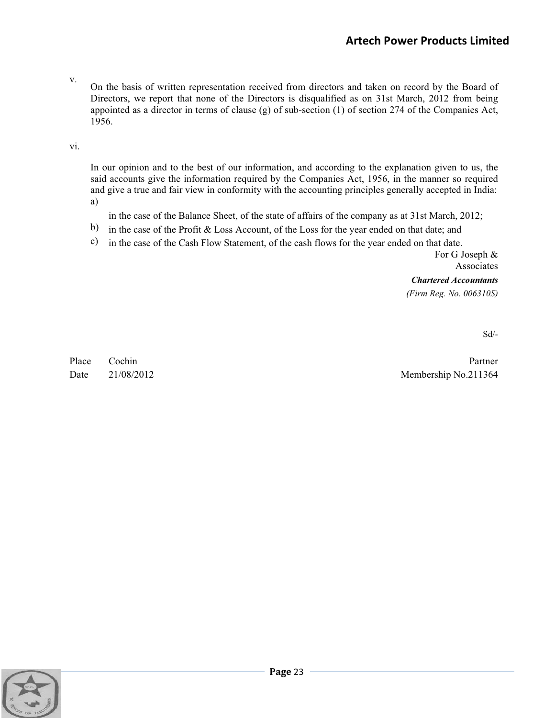v.

On the basis of written representation received from directors and taken on record by the Board of Directors, we report that none of the Directors is disqualified as on 31st March, 2012 from being appointed as a director in terms of clause (g) of sub-section (1) of section 274 of the Companies Act, 1956.

vi.

In our opinion and to the best of our information, and according to the explanation given to us, the said accounts give the information required by the Companies Act, 1956, in the manner so required and give a true and fair view in conformity with the accounting principles generally accepted in India: a)

in the case of the Balance Sheet, of the state of affairs of the company as at 31st March, 2012;

- b) in the case of the Profit & Loss Account, of the Loss for the year ended on that date; and
- c) in the case of the Cash Flow Statement, of the cash flows for the year ended on that date.

For G Joseph & Associates *Chartered Accountants* 

*(Firm Reg. No. 006310S)* 

Sd/-

Place Cochin Partner Date 21/08/2012 Membership No.211364

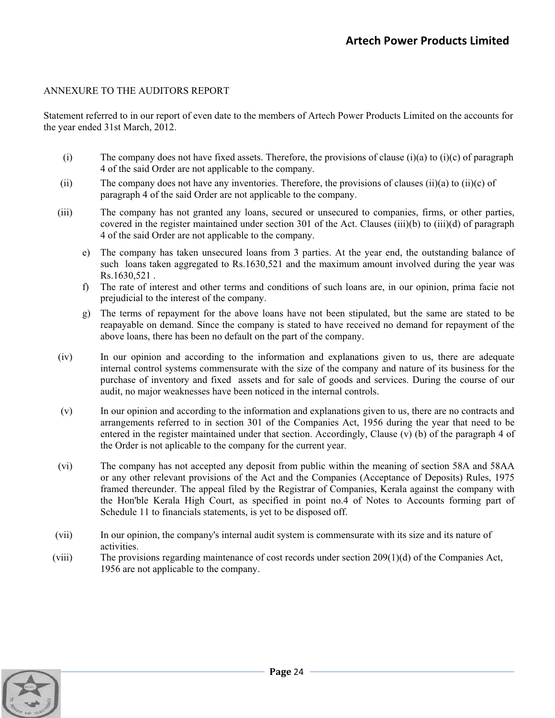## ANNEXURE TO THE AUDITORS REPORT

Statement referred to in our report of even date to the members of Artech Power Products Limited on the accounts for the year ended 31st March, 2012.

- (i) The company does not have fixed assets. Therefore, the provisions of clause (i)(a) to (i)(c) of paragraph 4 of the said Order are not applicable to the company.
- (ii) The company does not have any inventories. Therefore, the provisions of clauses (ii)(a) to (ii)(c) of paragraph 4 of the said Order are not applicable to the company.
- (iii) The company has not granted any loans, secured or unsecured to companies, firms, or other parties, covered in the register maintained under section 301 of the Act. Clauses (iii)(b) to (iii)(d) of paragraph 4 of the said Order are not applicable to the company.
	- e) The company has taken unsecured loans from 3 parties. At the year end, the outstanding balance of such loans taken aggregated to Rs.1630,521 and the maximum amount involved during the year was Rs.1630,521 .
	- f) The rate of interest and other terms and conditions of such loans are, in our opinion, prima facie not prejudicial to the interest of the company.
	- g) The terms of repayment for the above loans have not been stipulated, but the same are stated to be reapayable on demand. Since the company is stated to have received no demand for repayment of the above loans, there has been no default on the part of the company.
- (iv) In our opinion and according to the information and explanations given to us, there are adequate internal control systems commensurate with the size of the company and nature of its business for the purchase of inventory and fixed assets and for sale of goods and services. During the course of our audit, no major weaknesses have been noticed in the internal controls.
- (v) In our opinion and according to the information and explanations given to us, there are no contracts and arrangements referred to in section 301 of the Companies Act, 1956 during the year that need to be entered in the register maintained under that section. Accordingly, Clause (v) (b) of the paragraph 4 of the Order is not aplicable to the company for the current year.
- (vi) The company has not accepted any deposit from public within the meaning of section 58A and 58AA or any other relevant provisions of the Act and the Companies (Acceptance of Deposits) Rules, 1975 framed thereunder. The appeal filed by the Registrar of Companies, Kerala against the company with the Hon'ble Kerala High Court, as specified in point no.4 of Notes to Accounts forming part of Schedule 11 to financials statements, is yet to be disposed off.
- (vii) In our opinion, the company's internal audit system is commensurate with its size and its nature of activities.
- (viii) The provisions regarding maintenance of cost records under section 209(1)(d) of the Companies Act, 1956 are not applicable to the company.

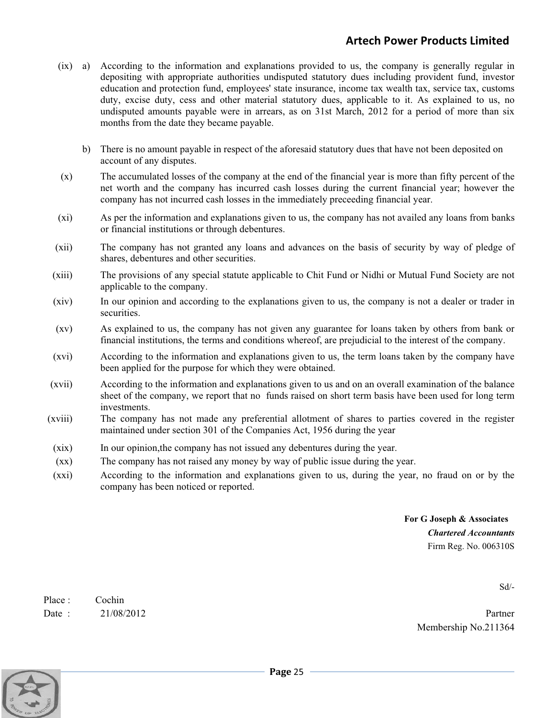- (ix) a) According to the information and explanations provided to us, the company is generally regular in depositing with appropriate authorities undisputed statutory dues including provident fund, investor education and protection fund, employees' state insurance, income tax wealth tax, service tax, customs duty, excise duty, cess and other material statutory dues, applicable to it. As explained to us, no undisputed amounts payable were in arrears, as on 31st March, 2012 for a period of more than six months from the date they became payable.
	- b) There is no amount payable in respect of the aforesaid statutory dues that have not been deposited on account of any disputes.
- (x) The accumulated losses of the company at the end of the financial year is more than fifty percent of the net worth and the company has incurred cash losses during the current financial year; however the company has not incurred cash losses in the immediately preceeding financial year.
- (xi) As per the information and explanations given to us, the company has not availed any loans from banks or financial institutions or through debentures.
- (xii) The company has not granted any loans and advances on the basis of security by way of pledge of shares, debentures and other securities.
- (xiii) The provisions of any special statute applicable to Chit Fund or Nidhi or Mutual Fund Society are not applicable to the company.
- (xiv) In our opinion and according to the explanations given to us, the company is not a dealer or trader in securities.
- (xv) As explained to us, the company has not given any guarantee for loans taken by others from bank or financial institutions, the terms and conditions whereof, are prejudicial to the interest of the company.
- (xvi) According to the information and explanations given to us, the term loans taken by the company have been applied for the purpose for which they were obtained.
- (xvii) According to the information and explanations given to us and on an overall examination of the balance sheet of the company, we report that no funds raised on short term basis have been used for long term investments.
- (xviii) The company has not made any preferential allotment of shares to parties covered in the register maintained under section 301 of the Companies Act, 1956 during the year
- (xix) In our opinion,the company has not issued any debentures during the year.
- (xx) The company has not raised any money by way of public issue during the year.
- (xxi) According to the information and explanations given to us, during the year, no fraud on or by the company has been noticed or reported.

## **For G Joseph & Associates**  *Chartered Accountants*  Firm Reg. No. 006310S

Sd/-

Place : Cochin Date : 21/08/2012 Partner

Membership No.211364

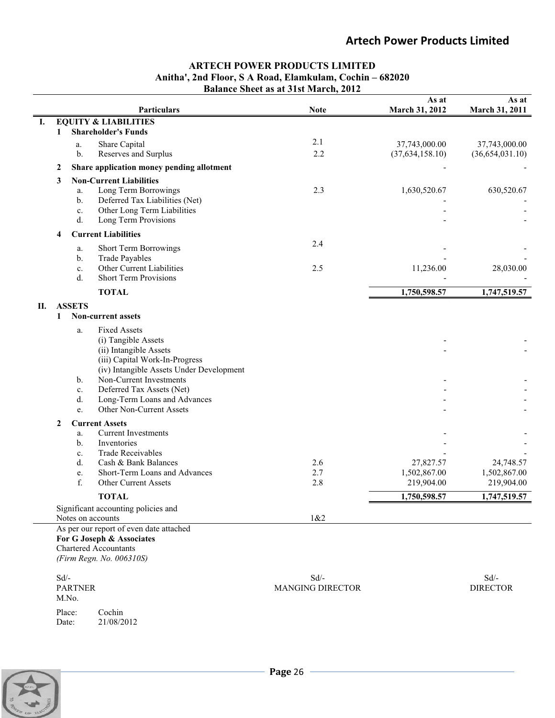## **ARTECH POWER PRODUCTS LIMITED Anitha', 2nd Floor, S A Road, Elamkulam, Cochin – 682020 Balance Sheet as at 31st March, 2012**

|    |              | <b>Particulars</b>                                                          | <b>Note</b>             | As at<br>March 31, 2012   | As at<br>March 31, 2011 |
|----|--------------|-----------------------------------------------------------------------------|-------------------------|---------------------------|-------------------------|
| Ι. |              | <b>EQUITY &amp; LIABILITIES</b>                                             |                         |                           |                         |
|    | 1            | <b>Shareholder's Funds</b>                                                  |                         |                           |                         |
|    |              | Share Capital<br>a.                                                         | 2.1                     | 37,743,000.00             | 37,743,000.00           |
|    |              | Reserves and Surplus<br>b.                                                  | 2.2                     | (37, 634, 158.10)         | (36, 654, 031.10)       |
|    | 2            | Share application money pending allotment                                   |                         |                           |                         |
|    | 3            | <b>Non-Current Liabilities</b>                                              |                         |                           |                         |
|    |              | Long Term Borrowings<br>a.                                                  | 2.3                     | 1,630,520.67              | 630,520.67              |
|    |              | Deferred Tax Liabilities (Net)<br>b.<br>Other Long Term Liabilities         |                         |                           |                         |
|    |              | c.<br>Long Term Provisions<br>d.                                            |                         |                           |                         |
|    | 4            | <b>Current Liabilities</b>                                                  |                         |                           |                         |
|    |              |                                                                             | 2.4                     |                           |                         |
|    |              | Short Term Borrowings<br>a.<br><b>Trade Payables</b><br>b.                  |                         |                           |                         |
|    |              | Other Current Liabilities<br>c.                                             | 2.5                     | 11,236.00                 | 28,030.00               |
|    |              | <b>Short Term Provisions</b><br>d.                                          |                         |                           |                         |
|    |              | <b>TOTAL</b>                                                                |                         | 1,750,598.57              | 1,747,519.57            |
| П. |              | <b>ASSETS</b>                                                               |                         |                           |                         |
|    | 1            | Non-current assets                                                          |                         |                           |                         |
|    |              | <b>Fixed Assets</b><br>a.                                                   |                         |                           |                         |
|    |              | (i) Tangible Assets                                                         |                         |                           |                         |
|    |              | (ii) Intangible Assets                                                      |                         |                           |                         |
|    |              | (iii) Capital Work-In-Progress                                              |                         |                           |                         |
|    |              | (iv) Intangible Assets Under Development                                    |                         |                           |                         |
|    |              | Non-Current Investments<br>b.<br>Deferred Tax Assets (Net)<br>$\mathbf{c}.$ |                         |                           |                         |
|    |              | d.<br>Long-Term Loans and Advances                                          |                         |                           |                         |
|    |              | Other Non-Current Assets<br>e.                                              |                         |                           |                         |
|    | $\mathbf{2}$ | <b>Current Assets</b>                                                       |                         |                           |                         |
|    |              | <b>Current Investments</b><br>a.                                            |                         |                           |                         |
|    |              | Inventories<br>b.                                                           |                         |                           |                         |
|    |              | <b>Trade Receivables</b><br>c.                                              | 2.6                     |                           | 24,748.57               |
|    |              | d.<br>Cash & Bank Balances<br>Short-Term Loans and Advances<br>e.           | 2.7                     | 27,827.57<br>1,502,867.00 | 1,502,867.00            |
|    |              | f.<br>Other Current Assets                                                  | 2.8                     | 219,904.00                | 219,904.00              |
|    |              | <b>TOTAL</b>                                                                |                         | 1,750,598.57              | 1,747,519.57            |
|    |              | Significant accounting policies and                                         |                         |                           |                         |
|    |              | Notes on accounts                                                           | 1&2                     |                           |                         |
|    |              | As per our report of even date attached                                     |                         |                           |                         |
|    |              | For G Joseph & Associates<br><b>Chartered Accountants</b>                   |                         |                           |                         |
|    |              | (Firm Regn. No. 006310S)                                                    |                         |                           |                         |
|    |              |                                                                             |                         |                           |                         |
|    | $Sd/-$       |                                                                             | $Sd/-$                  |                           | $Sd$ -                  |
|    |              | <b>PARTNER</b><br>M.No.                                                     | <b>MANGING DIRECTOR</b> |                           | <b>DIRECTOR</b>         |
|    |              | Place:<br>Cochin                                                            |                         |                           |                         |
|    |              | 21/08/2012<br>Date:                                                         |                         |                           |                         |

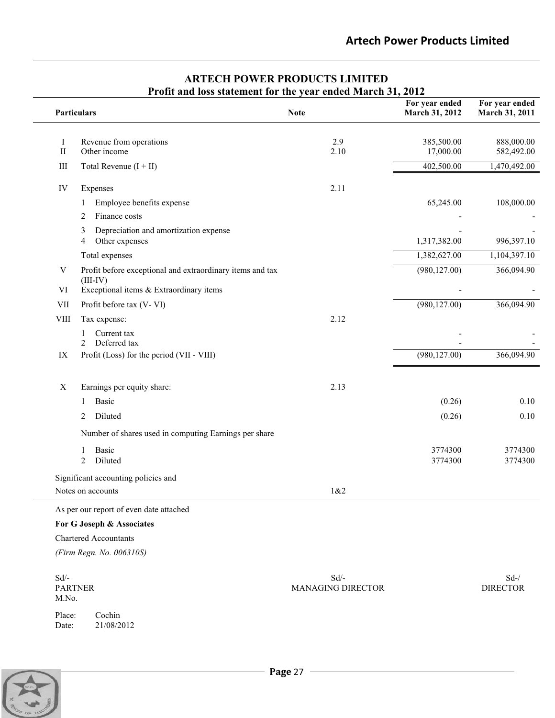|                  | TTUIN and foss statement for the year ended march 31, 2012<br>Particulars | <b>Note</b>                         | For year ended<br>March 31, 2012 | For year ended<br>March 31, 2011 |
|------------------|---------------------------------------------------------------------------|-------------------------------------|----------------------------------|----------------------------------|
| I<br>$\rm II$    | Revenue from operations<br>Other income                                   | 2.9<br>2.10                         | 385,500.00<br>17,000.00          | 888,000.00<br>582,492.00         |
| III              | Total Revenue $(I + II)$                                                  |                                     | 402,500.00                       | 1,470,492.00                     |
| IV               | Expenses                                                                  | 2.11                                |                                  |                                  |
|                  | Employee benefits expense<br>1<br>Finance costs<br>2                      |                                     | 65,245.00                        | 108,000.00                       |
|                  | Depreciation and amortization expense<br>3<br>Other expenses<br>4         |                                     | 1,317,382.00                     | 996,397.10                       |
|                  | Total expenses                                                            |                                     | 1,382,627.00                     | 1,104,397.10                     |
| V                | Profit before exceptional and extraordinary items and tax<br>$(III-IV)$   |                                     | (980, 127.00)                    | 366,094.90                       |
| VI               | Exceptional items & Extraordinary items                                   |                                     |                                  |                                  |
| <b>VII</b>       | Profit before tax (V-VI)                                                  | 2.12                                | (980, 127.00)                    | 366,094.90                       |
| <b>VIII</b>      | Tax expense:<br>Current tax<br>1<br>Deferred tax<br>2                     |                                     |                                  |                                  |
| IX               | Profit (Loss) for the period (VII - VIII)                                 |                                     | (980, 127.00)                    | 366,094.90                       |
| X                | Earnings per equity share:                                                | 2.13                                |                                  |                                  |
|                  | Basic<br>1                                                                |                                     | (0.26)                           | 0.10                             |
|                  | Diluted<br>2                                                              |                                     | (0.26)                           | 0.10                             |
|                  | Number of shares used in computing Earnings per share                     |                                     |                                  |                                  |
|                  | Basic<br>1<br>2<br>Diluted                                                |                                     | 3774300<br>3774300               | 3774300<br>3774300               |
|                  | Significant accounting policies and                                       |                                     |                                  |                                  |
|                  | Notes on accounts                                                         | 1&2                                 |                                  |                                  |
|                  | As per our report of even date attached                                   |                                     |                                  |                                  |
|                  | For G Joseph & Associates                                                 |                                     |                                  |                                  |
|                  | <b>Chartered Accountants</b>                                              |                                     |                                  |                                  |
|                  | (Firm Regn. No. 006310S)                                                  |                                     |                                  |                                  |
| $Sd$ /-<br>M.No. | <b>PARTNER</b>                                                            | $Sd$ /-<br><b>MANAGING DIRECTOR</b> |                                  | $Sd-$ /<br><b>DIRECTOR</b>       |

## **ARTECH POWER PRODUCTS LIMITED Profit and loss statement for the year ended March 31, 2012**

Place: Cochin<br>Date: 21/08/20 21/08/2012

**Page** <sup>27</sup>

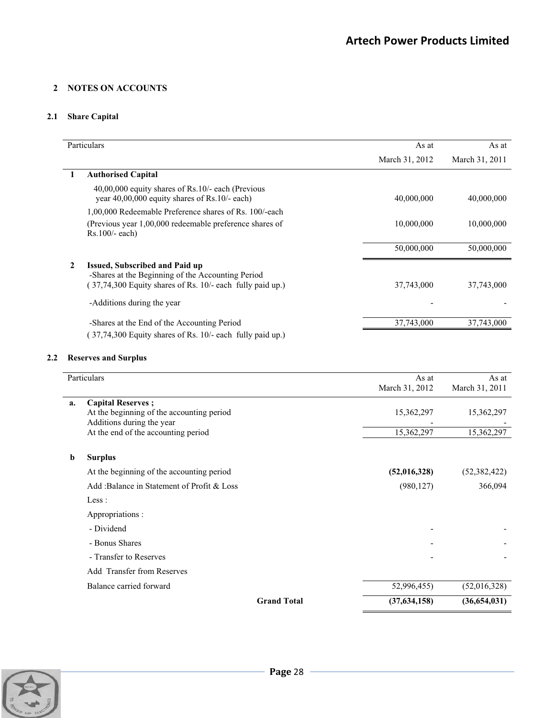## **2 NOTES ON ACCOUNTS**

## **2.1 Share Capital**

|   | Particulars                                                                                            | As at          | As at          |
|---|--------------------------------------------------------------------------------------------------------|----------------|----------------|
|   |                                                                                                        | March 31, 2012 | March 31, 2011 |
|   | <b>Authorised Capital</b>                                                                              |                |                |
|   | $40,00,000$ equity shares of Rs.10/- each (Previous<br>year $40,00,000$ equity shares of Rs.10/- each) | 40,000,000     | 40,000,000     |
|   | 1,00,000 Redeemable Preference shares of Rs. 100/-each                                                 |                |                |
|   | (Previous year 1,00,000 redeemable preference shares of<br>$Rs.100/-$ each)                            | 10,000,000     | 10,000,000     |
|   |                                                                                                        | 50,000,000     | 50,000,000     |
| 2 | Issued, Subscribed and Paid up<br>-Shares at the Beginning of the Accounting Period                    |                |                |
|   | 37,74,300 Equity shares of Rs. 10/- each fully paid up.)                                               | 37,743,000     | 37,743,000     |
|   | -Additions during the year                                                                             |                |                |
|   | -Shares at the End of the Accounting Period                                                            | 37,743,000     | 37,743,000     |
|   | $(37,74,300)$ Equity shares of Rs. 10/- each fully paid up.)                                           |                |                |

## **2.2 Reserves and Surplus**

|    | Particulars                                                                                         | As at<br>March 31, 2012 | As at<br>March 31, 2011 |
|----|-----------------------------------------------------------------------------------------------------|-------------------------|-------------------------|
| a. | <b>Capital Reserves</b> ;<br>At the beginning of the accounting period<br>Additions during the year | 15,362,297              | 15,362,297              |
|    | At the end of the accounting period                                                                 | 15,362,297              | 15,362,297              |
| b  | <b>Surplus</b>                                                                                      |                         |                         |
|    | At the beginning of the accounting period                                                           | (52,016,328)            | (52, 382, 422)          |
|    | Add:Balance in Statement of Profit & Loss                                                           | (980, 127)              | 366,094                 |
|    | Less:                                                                                               |                         |                         |
|    | Appropriations :                                                                                    |                         |                         |
|    | - Dividend                                                                                          |                         |                         |
|    | - Bonus Shares                                                                                      |                         |                         |
|    | - Transfer to Reserves                                                                              |                         |                         |
|    | <b>Add Transfer from Reserves</b>                                                                   |                         |                         |
|    | Balance carried forward                                                                             | 52,996,455)             | (52,016,328)            |
|    | <b>Grand Total</b>                                                                                  | (37, 634, 158)          | (36,654,031)            |

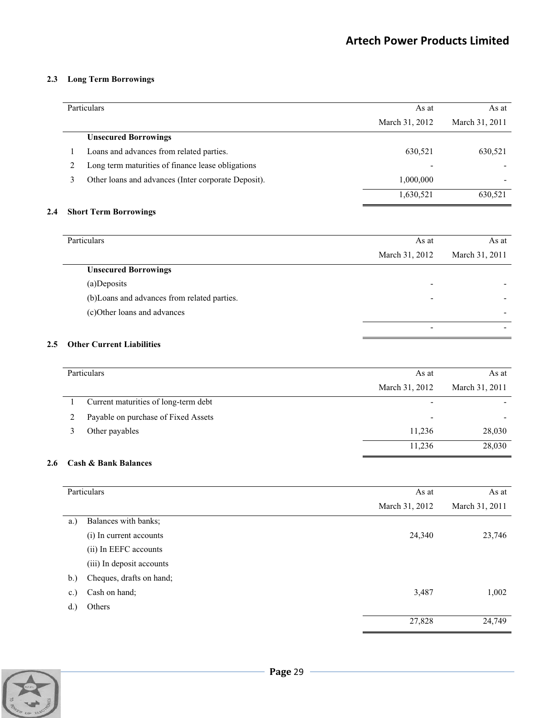### **2.3 Long Term Borrowings**

|   | Particulars                                         | As at                    | As at          |
|---|-----------------------------------------------------|--------------------------|----------------|
|   |                                                     | March 31, 2012           | March 31, 2011 |
|   | <b>Unsecured Borrowings</b>                         |                          |                |
|   | Loans and advances from related parties.            | 630,521                  | 630,521        |
| 2 | Long term maturities of finance lease obligations   | $\overline{\phantom{0}}$ |                |
| 3 | Other loans and advances (Inter corporate Deposit). | 1,000,000                |                |
|   |                                                     | 1,630,521                | 630,521        |

## **2.4 Short Term Borrowings**

| Particulars                                  | As at                    | As at          |
|----------------------------------------------|--------------------------|----------------|
|                                              | March 31, 2012           | March 31, 2011 |
| <b>Unsecured Borrowings</b>                  |                          |                |
| (a)Deposits                                  | $\overline{\phantom{0}}$ |                |
| (b) Loans and advances from related parties. | $\overline{\phantom{0}}$ |                |
| (c)Other loans and advances                  |                          |                |
|                                              | $\overline{\phantom{0}}$ |                |

## **2.5 Other Current Liabilities**

| Particulars                          | As at                    | As at          |
|--------------------------------------|--------------------------|----------------|
|                                      | March 31, 2012           | March 31, 2011 |
| Current maturities of long-term debt | $\overline{\phantom{a}}$ |                |
| Payable on purchase of Fixed Assets  | $\overline{\phantom{a}}$ |                |
| Other payables                       | 11,236                   | 28,030         |
|                                      | 11,236                   | 28,030         |

## **2.6 Cash & Bank Balances**

|                | Particulars               | As at          | As at          |
|----------------|---------------------------|----------------|----------------|
|                |                           | March 31, 2012 | March 31, 2011 |
| a.)            | Balances with banks;      |                |                |
|                | (i) In current accounts   | 24,340         | 23,746         |
|                | (ii) In EEFC accounts     |                |                |
|                | (iii) In deposit accounts |                |                |
| b.)            | Cheques, drafts on hand;  |                |                |
| $\mathbf{c}$ . | Cash on hand;             | 3,487          | 1,002          |
| d.             | Others                    |                |                |
|                |                           | 27,828         | 24,749         |

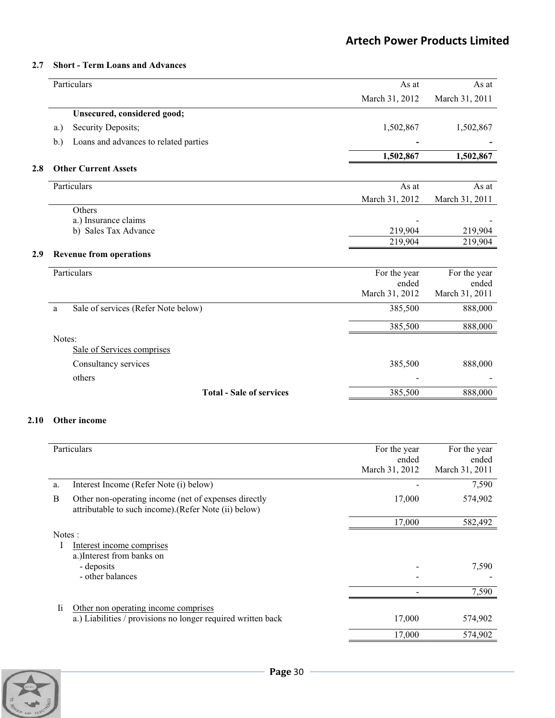### **2.7 Short - Term Loans and Advances**

|      | Particulars  |                                       | As at                 | As at                 |
|------|--------------|---------------------------------------|-----------------------|-----------------------|
|      |              |                                       | March 31, 2012        | March 31, 2011        |
|      |              | Unsecured, considered good;           |                       |                       |
|      | a.)          | Security Deposits;                    | 1,502,867             | 1,502,867             |
|      | b.)          | Loans and advances to related parties |                       |                       |
|      |              |                                       | 1,502,867             | 1,502,867             |
| 2.8  |              | <b>Other Current Assets</b>           |                       |                       |
|      | Particulars  |                                       | As at                 | As at                 |
|      |              |                                       | March 31, 2012        | March 31, 2011        |
|      | Others       |                                       |                       |                       |
|      |              | a.) Insurance claims                  |                       |                       |
|      |              | b) Sales Tax Advance                  | 219,904               | 219,904               |
|      |              |                                       | 219,904               | 219,904               |
| 2.9  |              | <b>Revenue from operations</b>        |                       |                       |
|      | Particulars  |                                       | For the year          | For the year          |
|      |              |                                       | ended                 | ended                 |
|      |              |                                       | March 31, 2012        | March 31, 2011        |
|      | a            | Sale of services (Refer Note below)   | 385,500               | 888,000               |
|      |              |                                       | 385,500               | 888,000               |
|      | Notes:       |                                       |                       |                       |
|      |              | Sale of Services comprises            |                       |                       |
|      |              | Consultancy services                  | 385,500               | 888,000               |
|      | others       |                                       |                       |                       |
|      |              | <b>Total - Sale of services</b>       | 385,500               | 888,000               |
| 2.10 | Other income |                                       |                       |                       |
|      | Particulars  |                                       | For the year<br>ended | For the year<br>ended |
|      |              |                                       | March 31, 2012        | March 31, 2011        |

|        |                                                                                                               | ended<br>March 31, 2012 | ended<br>March 31, 2011 |
|--------|---------------------------------------------------------------------------------------------------------------|-------------------------|-------------------------|
| a.     | Interest Income (Refer Note (i) below)                                                                        |                         | 7,590                   |
| B      | Other non-operating income (net of expenses directly<br>attributable to such income). (Refer Note (ii) below) | 17,000                  | 574,902                 |
|        |                                                                                                               | 17,000                  | 582,492                 |
| Notes: |                                                                                                               |                         |                         |
|        | Interest income comprises                                                                                     |                         |                         |
|        | a.) Interest from banks on                                                                                    |                         |                         |
|        | - deposits                                                                                                    |                         | 7,590                   |
|        | - other balances                                                                                              |                         |                         |
|        |                                                                                                               |                         | 7,590                   |
| Ii     | Other non operating income comprises                                                                          |                         |                         |
|        | a.) Liabilities / provisions no longer required written back                                                  | 17,000                  | 574,902                 |
|        |                                                                                                               | 17,000                  | 574,902                 |

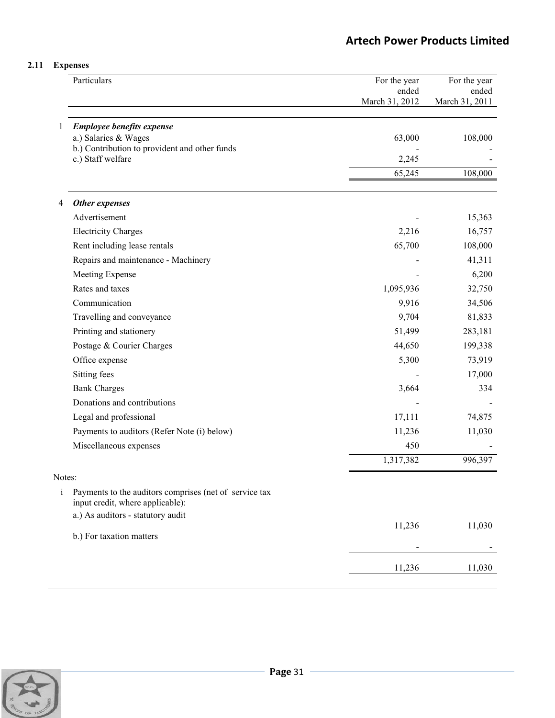## **2.11 Expenses**

|              | Particulars                                                                                | For the year<br>ended<br>March 31, 2012 | For the year<br>ended<br>March 31, 2011 |
|--------------|--------------------------------------------------------------------------------------------|-----------------------------------------|-----------------------------------------|
|              |                                                                                            |                                         |                                         |
| 1            | <b>Employee benefits expense</b>                                                           |                                         |                                         |
|              | a.) Salaries & Wages                                                                       | 63,000                                  | 108,000                                 |
|              | b.) Contribution to provident and other funds<br>c.) Staff welfare                         | 2,245                                   |                                         |
|              |                                                                                            | 65,245                                  | 108,000                                 |
|              |                                                                                            |                                         |                                         |
| 4            | Other expenses                                                                             |                                         |                                         |
|              | Advertisement                                                                              |                                         | 15,363                                  |
|              | <b>Electricity Charges</b>                                                                 | 2,216                                   | 16,757                                  |
|              | Rent including lease rentals                                                               | 65,700                                  | 108,000                                 |
|              | Repairs and maintenance - Machinery                                                        |                                         | 41,311                                  |
|              | Meeting Expense                                                                            |                                         | 6,200                                   |
|              | Rates and taxes                                                                            | 1,095,936                               | 32,750                                  |
|              | Communication                                                                              | 9,916                                   | 34,506                                  |
|              | Travelling and conveyance                                                                  | 9,704                                   | 81,833                                  |
|              | Printing and stationery                                                                    | 51,499                                  | 283,181                                 |
|              | Postage & Courier Charges                                                                  | 44,650                                  | 199,338                                 |
|              | Office expense                                                                             | 5,300                                   | 73,919                                  |
|              | Sitting fees                                                                               |                                         | 17,000                                  |
|              | <b>Bank Charges</b>                                                                        | 3,664                                   | 334                                     |
|              | Donations and contributions                                                                |                                         |                                         |
|              | Legal and professional                                                                     | 17,111                                  | 74,875                                  |
|              | Payments to auditors (Refer Note (i) below)                                                | 11,236                                  | 11,030                                  |
|              | Miscellaneous expenses                                                                     | 450                                     |                                         |
|              |                                                                                            | 1,317,382                               | 996,397                                 |
| Notes:       |                                                                                            |                                         |                                         |
| $\mathbf{i}$ | Payments to the auditors comprises (net of service tax<br>input credit, where applicable): |                                         |                                         |
|              | a.) As auditors - statutory audit                                                          |                                         |                                         |
|              | b.) For taxation matters                                                                   | 11,236                                  | 11,030                                  |
|              |                                                                                            | -                                       |                                         |
|              |                                                                                            | 11,236                                  | 11,030                                  |
|              |                                                                                            |                                         |                                         |

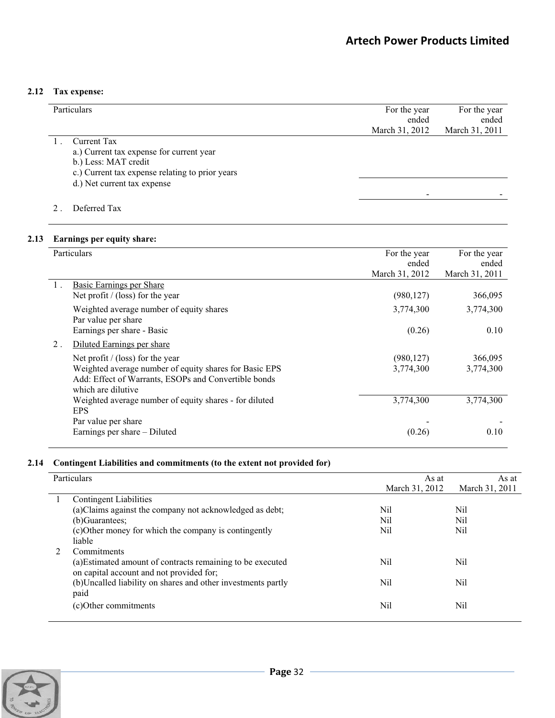## **2.12 Tax expense:**

| Particulars                                     | For the year   | For the year   |
|-------------------------------------------------|----------------|----------------|
|                                                 | ended          | ended          |
|                                                 | March 31, 2012 | March 31, 2011 |
| Current Tax                                     |                |                |
| a.) Current tax expense for current year        |                |                |
| b.) Less: MAT credit                            |                |                |
| c.) Current tax expense relating to prior years |                |                |
| d.) Net current tax expense                     |                |                |
|                                                 |                |                |
| Deferred Tax                                    |                |                |

## **2.13 Earnings per equity share:**

|    | Particulars                                                                                                                          | For the year<br>ended | For the year<br>ended |
|----|--------------------------------------------------------------------------------------------------------------------------------------|-----------------------|-----------------------|
|    |                                                                                                                                      | March 31, 2012        | March 31, 2011        |
|    | <b>Basic Earnings per Share</b><br>Net profit $/$ (loss) for the year                                                                | (980, 127)            | 366,095               |
|    | Weighted average number of equity shares<br>Par value per share                                                                      | 3,774,300             | 3,774,300             |
|    | Earnings per share - Basic                                                                                                           | (0.26)                | 0.10                  |
| 2. | Diluted Earnings per share                                                                                                           |                       |                       |
|    | Net profit $/$ (loss) for the year                                                                                                   | (980, 127)            | 366,095               |
|    | Weighted average number of equity shares for Basic EPS<br>Add: Effect of Warrants, ESOPs and Convertible bonds<br>which are dilutive | 3,774,300             | 3,774,300             |
|    | Weighted average number of equity shares - for diluted<br><b>EPS</b>                                                                 | 3,774,300             | 3,774,300             |
|    | Par value per share                                                                                                                  |                       |                       |
|    | Earnings per share – Diluted                                                                                                         | (0.26)                | 0.10                  |

## **2.14 Contingent Liabilities and commitments (to the extent not provided for)**

| Particulars                                                                                            | As at          | As at          |
|--------------------------------------------------------------------------------------------------------|----------------|----------------|
|                                                                                                        | March 31, 2012 | March 31, 2011 |
| <b>Contingent Liabilities</b>                                                                          |                |                |
| (a)Claims against the company not acknowledged as debt;                                                | Nil            | Nil            |
| (b)Guarantees;                                                                                         | Nil            | Nil            |
| (c) Other money for which the company is contingently                                                  | Nil            | Nil            |
| liable                                                                                                 |                |                |
| Commitments                                                                                            |                |                |
| (a) Estimated amount of contracts remaining to be executed<br>on capital account and not provided for; | Nil            | Nil            |
| (b) Uncalled liability on shares and other investments partly                                          | Nil            | Nil            |
| paid                                                                                                   |                |                |
| (c)Other commitments                                                                                   | Nil            | Nil            |

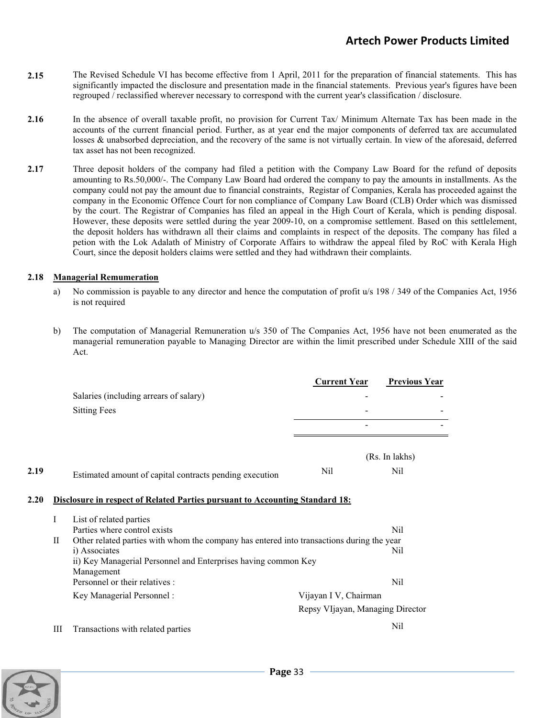- **2.15** The Revised Schedule VI has become effective from 1 April, 2011 for the preparation of financial statements. This has significantly impacted the disclosure and presentation made in the financial statements. Previous year's figures have been regrouped / reclassified wherever necessary to correspond with the current year's classification / disclosure.
- **2.16** In the absence of overall taxable profit, no provision for Current Tax/ Minimum Alternate Tax has been made in the accounts of the current financial period. Further, as at year end the major components of deferred tax are accumulated losses & unabsorbed depreciation, and the recovery of the same is not virtually certain. In view of the aforesaid, deferred tax asset has not been recognized.
- **2.17** Three deposit holders of the company had filed a petition with the Company Law Board for the refund of deposits amounting to Rs.50,000/-. The Company Law Board had ordered the company to pay the amounts in installments. As the company could not pay the amount due to financial constraints, Registar of Companies, Kerala has proceeded against the company in the Economic Offence Court for non compliance of Company Law Board (CLB) Order which was dismissed by the court. The Registrar of Companies has filed an appeal in the High Court of Kerala, which is pending disposal. However, these deposits were settled during the year 2009-10, on a compromise settlement. Based on this settlelement, the deposit holders has withdrawn all their claims and complaints in respect of the deposits. The company has filed a petion with the Lok Adalath of Ministry of Corporate Affairs to withdraw the appeal filed by RoC with Kerala High Court, since the deposit holders claims were settled and they had withdrawn their complaints.

### **2.18 Managerial Remumeration**

- a) No commission is payable to any director and hence the computation of profit u/s 198 / 349 of the Companies Act, 1956 is not required
- b) The computation of Managerial Remuneration u/s 350 of The Companies Act, 1956 have not been enumerated as the managerial remuneration payable to Managing Director are within the limit prescribed under Schedule XIII of the said Act.

|      |   |                                                                                           | <b>Current Year</b>              | <b>Previous Year</b>  |
|------|---|-------------------------------------------------------------------------------------------|----------------------------------|-----------------------|
|      |   | Salaries (including arrears of salary)                                                    |                                  |                       |
|      |   | <b>Sitting Fees</b>                                                                       |                                  |                       |
|      |   |                                                                                           |                                  |                       |
|      |   |                                                                                           |                                  |                       |
| 2.19 |   | Estimated amount of capital contracts pending execution                                   | Nil                              | (Rs. In lakhs)<br>Nil |
| 2.20 |   | Disclosure in respect of Related Parties pursuant to Accounting Standard 18:              |                                  |                       |
|      | I | List of related parties                                                                   |                                  |                       |
|      |   | Parties where control exists                                                              |                                  | Nil                   |
|      | П | Other related parties with whom the company has entered into transactions during the year |                                  |                       |
|      |   | i) Associates                                                                             |                                  | Nil                   |
|      |   | ii) Key Managerial Personnel and Enterprises having common Key                            |                                  |                       |
|      |   | Management<br>Personnel or their relatives :                                              |                                  | Nil                   |
|      |   |                                                                                           |                                  |                       |
|      |   | Key Managerial Personnel:                                                                 | Vijayan I V, Chairman            |                       |
|      |   |                                                                                           | Repsy VIjayan, Managing Director |                       |
|      | Ш | Transactions with related parties                                                         |                                  | Nil                   |
|      |   |                                                                                           |                                  |                       |

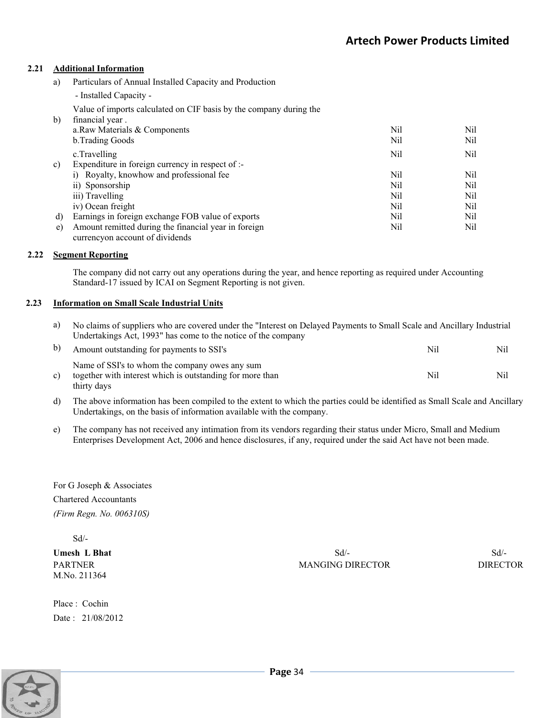### **2.21 Additional Information**

 $\overline{\phantom{a}}$ 

- a) Particulars of Annual Installed Capacity and Production
	- Installed Capacity -

Value of imports calculated on CIF basis by the company during the

| b) | financial year.                                      |     |      |
|----|------------------------------------------------------|-----|------|
|    | a.Raw Materials & Components                         | Nil | Nil. |
|    | b. Trading Goods                                     | Nil | Nil  |
|    | c.Travelling                                         | Nil | Nil  |
| c) | Expenditure in foreign currency in respect of $:$    |     |      |
|    | i) Royalty, knowhow and professional fee             | Nil | Nil  |
|    | ii) Sponsorship                                      | Nil | Nil  |
|    | iii) Travelling                                      | Nil | Nil  |
|    | iv) Ocean freight                                    | Nil | Nil  |
| d) | Earnings in foreign exchange FOB value of exports    | Nil | Nil. |
| e) | Amount remitted during the financial year in foreign | Nil | Nil  |
|    | currency on account of dividends                     |     |      |

#### **2.22 Segment Reporting**

The company did not carry out any operations during the year, and hence reporting as required under Accounting Standard-17 issued by ICAI on Segment Reporting is not given.

#### **2.23 Information on Small Scale Industrial Units**

| a) No claims of suppliers who are covered under the "Interest on Delayed Payments to Small Scale and Ancillary Industrial |
|---------------------------------------------------------------------------------------------------------------------------|
| Undertakings Act, 1993" has come to the notice of the company                                                             |

| b) | Amount outstanding for payments to SSI's                                                                                   | Nil | Nil- |
|----|----------------------------------------------------------------------------------------------------------------------------|-----|------|
| c) | Name of SSI's to whom the company owes any sum<br>together with interest which is outstanding for more than<br>thirty days | Nil | Nil  |

- d) The above information has been compiled to the extent to which the parties could be identified as Small Scale and Ancillary Undertakings, on the basis of information available with the company.
- e) The company has not received any intimation from its vendors regarding their status under Micro, Small and Medium Enterprises Development Act, 2006 and hence disclosures, if any, required under the said Act have not been made.

For G Joseph & Associates Chartered Accountants *(Firm Regn. No. 006310S)* 

Sd/-

M.No. 211364

Place : Cochin Date : 21/08/2012

**Umesh L Bhat** Sd<sup>1</sup>- Sd<sup>1</sup>- Sd<sup>1</sup>- Sd<sup>1</sup>- Sd<sup>1</sup>- Sd<sup>1</sup>- Sd<sup>1</sup>- Sd<sup>1</sup>- Sd<sup>1</sup>- Sd<sup>1</sup>- Sd<sup>1</sup>- Sd<sup>1</sup>- Sd<sup>1</sup>- Sd<sup>1</sup>- Sd<sup>1</sup>- Sd<sup>1</sup>- Sd<sup>1</sup>- Sd<sup>1</sup>- Sd<sup>1</sup>- Sd<sup>1</sup>- Sd<sup>1</sup>- Sd<sup>1</sup>- Sd<sup>1</sup>- Sd<sup>1</sup>- Sd<sup>1</sup>- Sd<sup>1</sup>- Sd<sup>1</sup>- Sd<sup>1</sup>- Sd<sup>1</sup>- Sd<sup>1</sup> PARTNER DIRECTOR DIRECTOR DIRECTOR DIRECTOR DIRECTOR

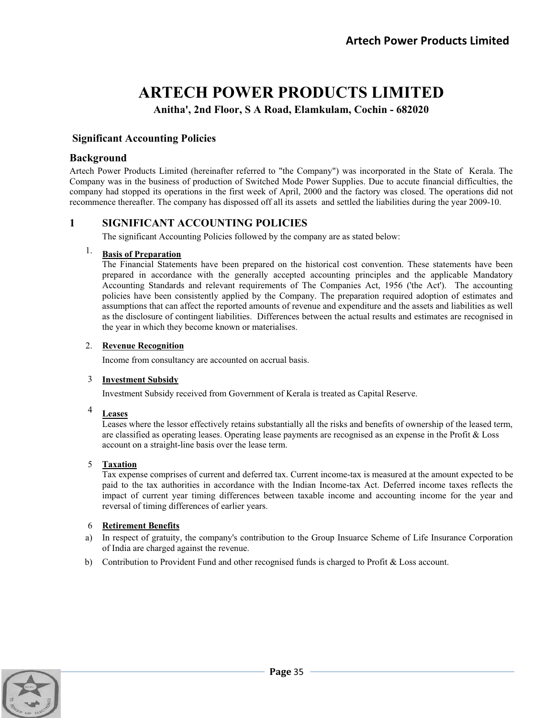# **ARTECH POWER PRODUCTS LIMITED**

**Anitha', 2nd Floor, S A Road, Elamkulam, Cochin - 682020** 

## **Significant Accounting Policies**

## **Background**

Artech Power Products Limited (hereinafter referred to "the Company") was incorporated in the State of Kerala. The Company was in the business of production of Switched Mode Power Supplies. Due to accute financial difficulties, the company had stopped its operations in the first week of April, 2000 and the factory was closed. The operations did not recommence thereafter. The company has dispossed off all its assets and settled the liabilities during the year 2009-10.

## **1 SIGNIFICANT ACCOUNTING POLICIES**

The significant Accounting Policies followed by the company are as stated below:

## 1. **Basis of Preparation**

 The Financial Statements have been prepared on the historical cost convention. These statements have been prepared in accordance with the generally accepted accounting principles and the applicable Mandatory Accounting Standards and relevant requirements of The Companies Act, 1956 ('the Act'). The accounting policies have been consistently applied by the Company. The preparation required adoption of estimates and assumptions that can affect the reported amounts of revenue and expenditure and the assets and liabilities as well as the disclosure of contingent liabilities. Differences between the actual results and estimates are recognised in the year in which they become known or materialises.

## 2. **Revenue Recognition**

Income from consultancy are accounted on accrual basis.

## 3 **Investment Subsidy**

Investment Subsidy received from Government of Kerala is treated as Capital Reserve.

## <sup>4</sup> **Leases**

 Leases where the lessor effectively retains substantially all the risks and benefits of ownership of the leased term, are classified as operating leases. Operating lease payments are recognised as an expense in the Profit & Loss account on a straight-line basis over the lease term.

## 5 **Taxation**

 Tax expense comprises of current and deferred tax. Current income-tax is measured at the amount expected to be paid to the tax authorities in accordance with the Indian Income-tax Act. Deferred income taxes reflects the impact of current year timing differences between taxable income and accounting income for the year and reversal of timing differences of earlier years.

## 6 **Retirement Benefits**

- a) In respect of gratuity, the company's contribution to the Group Insuarce Scheme of Life Insurance Corporation of India are charged against the revenue.
- b) Contribution to Provident Fund and other recognised funds is charged to Profit & Loss account.

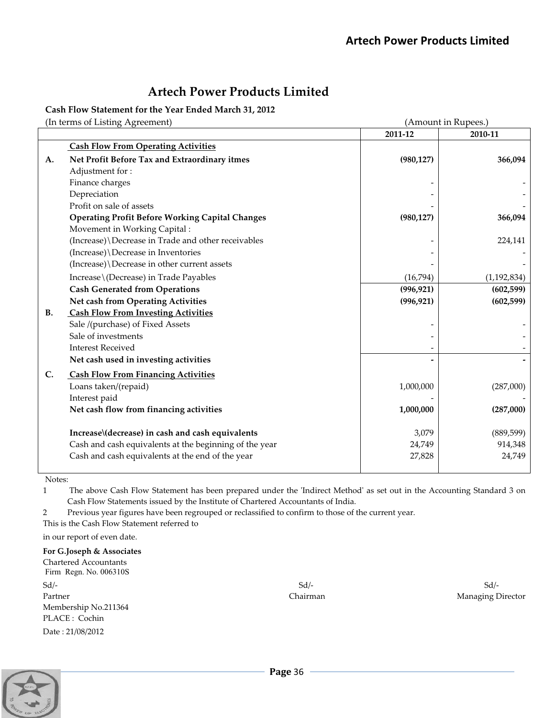**Cash Flow Statement for the Year Ended March 31, 2012**

(In terms of Listing Agreement) (Amount in Rupees.)

|           | $\mu$ comp or moint, resement,                         |            | $\mu$ module in reapect. |
|-----------|--------------------------------------------------------|------------|--------------------------|
|           |                                                        | 2011-12    | 2010-11                  |
|           | <b>Cash Flow From Operating Activities</b>             |            |                          |
| A.        | Net Profit Before Tax and Extraordinary itmes          | (980, 127) | 366,094                  |
|           | Adjustment for:                                        |            |                          |
|           | Finance charges                                        |            |                          |
|           | Depreciation                                           |            |                          |
|           | Profit on sale of assets                               |            |                          |
|           | <b>Operating Profit Before Working Capital Changes</b> | (980, 127) | 366,094                  |
|           | Movement in Working Capital:                           |            |                          |
|           | (Increase) \Decrease in Trade and other receivables    |            | 224,141                  |
|           | (Increase) \Decrease in Inventories                    |            |                          |
|           | (Increase) \Decrease in other current assets           |            |                          |
|           | Increase \ (Decrease) in Trade Payables                | (16,794)   | (1, 192, 834)            |
|           | <b>Cash Generated from Operations</b>                  | (996, 921) | (602, 599)               |
|           | Net cash from Operating Activities                     | (996, 921) | (602, 599)               |
| <b>B.</b> | <b>Cash Flow From Investing Activities</b>             |            |                          |
|           | Sale /(purchase) of Fixed Assets                       |            |                          |
|           | Sale of investments                                    |            |                          |
|           | <b>Interest Received</b>                               |            |                          |
|           | Net cash used in investing activities                  |            |                          |
| C.        | <b>Cash Flow From Financing Activities</b>             |            |                          |
|           | Loans taken/(repaid)                                   | 1,000,000  | (287,000)                |
|           | Interest paid                                          |            |                          |
|           | Net cash flow from financing activities                | 1,000,000  | (287,000)                |
|           | Increase\(decrease) in cash and cash equivalents       | 3,079      | (889, 599)               |
|           | Cash and cash equivalents at the beginning of the year | 24,749     | 914,348                  |
|           | Cash and cash equivalents at the end of the year       | 27,828     | 24,749                   |
|           |                                                        |            |                          |

Notes:

1 The above Cash Flow Statement has been prepared under the 'Indirect Method' as set out in the Accounting Standard 3 on Cash Flow Statements issued by the Institute of Chartered Accountants of India.

2 Previous year figures have been regrouped or reclassified to confirm to those of the current year.

This is the Cash Flow Statement referred to

in our report of even date.

## **For G.Joseph & Associates**

Chartered Accountants Firm Regn. No. 006310S  $Sd/ Sd/-$ Partner **Partner Partner** *Managing Director* Membership No.211364 PLACE : Cochin Date : 21/08/2012